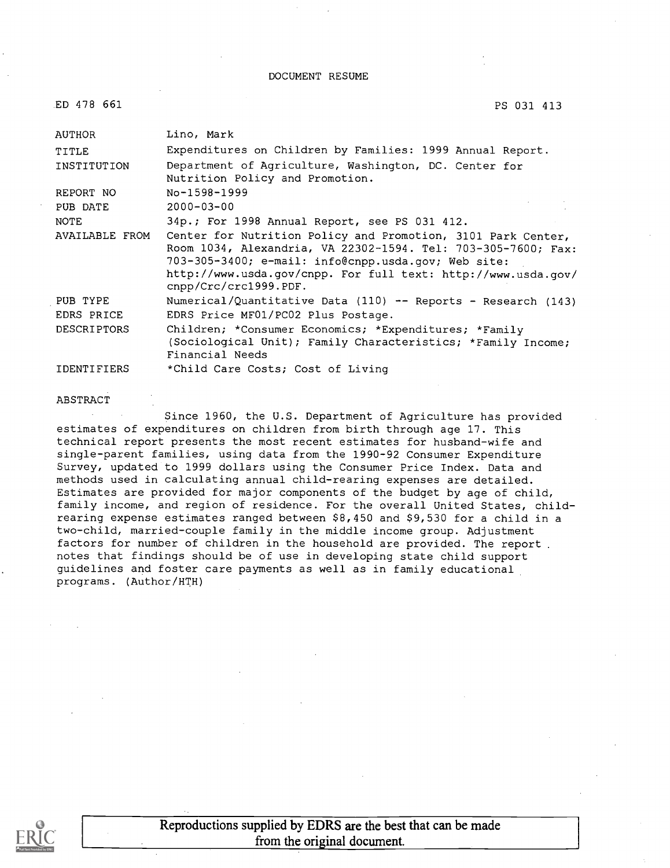DOCUMENT RESUME

| ED 478 661         | PS 031 413                                                                                                                                                                                                                                                                     |
|--------------------|--------------------------------------------------------------------------------------------------------------------------------------------------------------------------------------------------------------------------------------------------------------------------------|
| <b>AUTHOR</b>      | Lino, Mark                                                                                                                                                                                                                                                                     |
| TITLE              | Expenditures on Children by Families: 1999 Annual Report.                                                                                                                                                                                                                      |
| INSTITUTION        | Department of Agriculture, Washington, DC. Center for<br>Nutrition Policy and Promotion.                                                                                                                                                                                       |
| REPORT NO          | No-1598-1999                                                                                                                                                                                                                                                                   |
| PUB DATE           | $2000 - 03 - 00$                                                                                                                                                                                                                                                               |
| <b>NOTE</b>        | 34p.; For 1998 Annual Report, see PS 031 412.                                                                                                                                                                                                                                  |
| AVAILABLE FROM     | Center for Nutrition Policy and Promotion, 3101 Park Center,<br>Room 1034, Alexandria, VA 22302-1594. Tel: 703-305-7600; Fax:<br>703-305-3400; e-mail: info@cnpp.usda.gov; Web site:<br>http://www.usda.gov/cnpp. For full text: http://www.usda.gov/<br>cnpp/Crc/crc1999.PDF. |
| PUB TYPE           | Numerical/Quantitative Data (110) -- Reports - Research (143)                                                                                                                                                                                                                  |
| EDRS PRICE         | EDRS Price MF01/PC02 Plus Postage.                                                                                                                                                                                                                                             |
| <b>DESCRIPTORS</b> | Children; *Consumer Economics; *Expenditures; *Family<br>(Sociological Unit); Family Characteristics; *Family Income;<br>Financial Needs                                                                                                                                       |
| <b>IDENTIFIERS</b> | *Child Care Costs; Cost of Living                                                                                                                                                                                                                                              |

#### ABSTRACT

Since 1960, the U.S. Department of Agriculture has provided estimates of expenditures on children from birth through age 17. This technical report presents the most recent estimates for husband-wife and single-parent families, using data from the 1990-92 Consumer Expenditure Survey, updated to 1999 dollars using the Consumer Price Index. Data and methods used in calculating annual child-rearing expenses are detailed. Estimates are provided for major components of the budget by age of child, family income, and region of residence. For the overall United States, childrearing expense estimates ranged between \$8,450 and \$9,530 for a child in a two-child, married-couple family in the middle income group. Adjustment factors for number of children in the household are provided. The report notes that findings should be of use in developing state child support guidelines and foster care payments as well as in family educational programs. (Author/HTH)

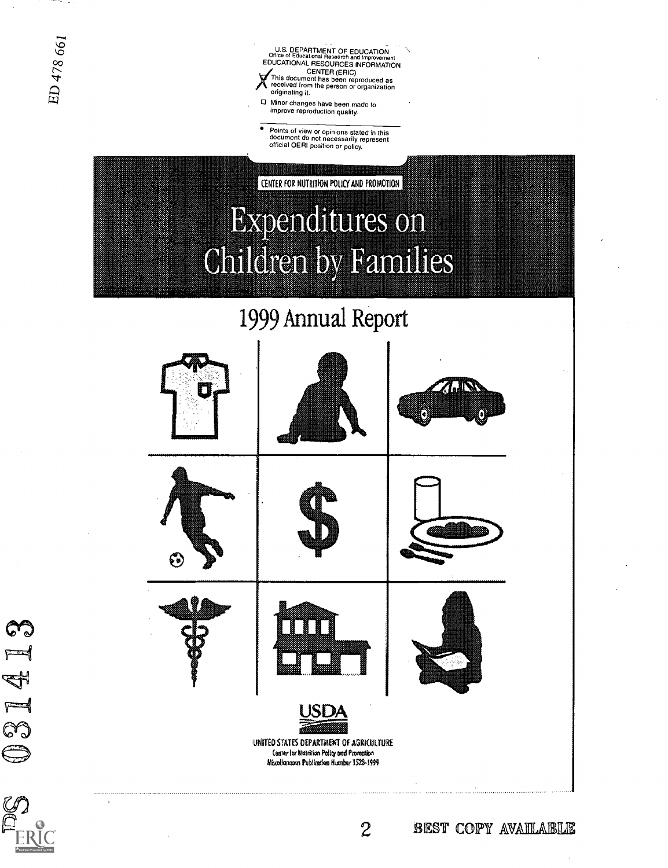031413

U.S. DEPARTMENT OF EDUCATION<br>Office of Educational Research and Improvement EDUCATIONAL RESOURCES INFORMATION  $\sum$  received CENTER (ERIC) This document has been reproduced as received from the person or organization originating it.

Minor changes have been made to improve reproduction quality.

Points of view or opinions stated in this document do not necessarily represent official OERI position or policy.

CENTER FOR NUTRITION POLICY AND PROMOTION **Expenditures on Children by Families** 

1999 Annual Report

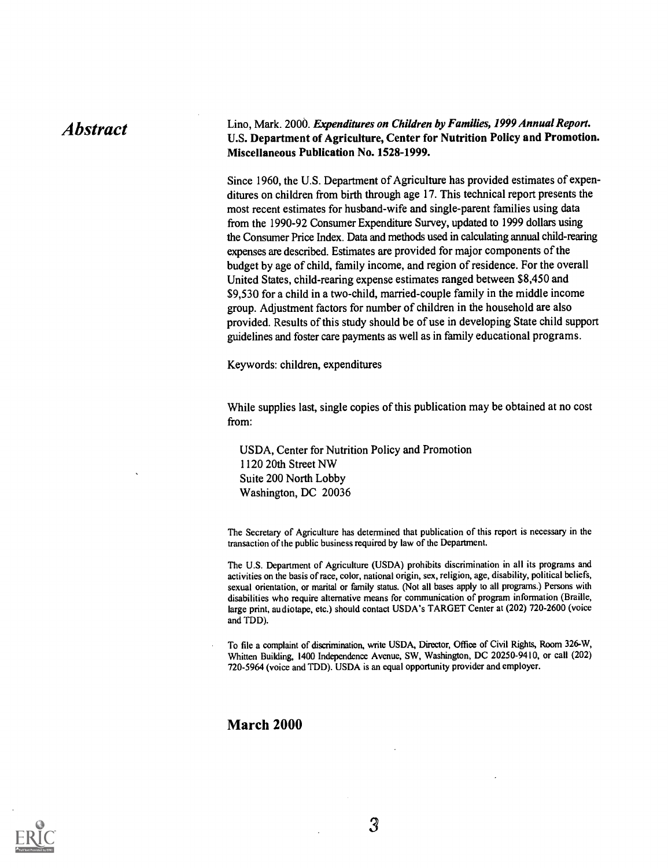## Abstract Lino, Mark. 2000. *Expenditures on Children by Families, 1999 Annual Report.*<br>U.S. Department of Agriculture, Center for Nutrition Policy and Promotion. Miscellaneous Publication No. 1528-1999.

Since 1960, the U.S. Department of Agriculture has provided estimates of expenditures on children from birth through age 17. This technical report presents the most recent estimates for husband-wife and single-parent families using data from the 1990-92 Consumer Expenditure Survey, updated to 1999 dollars using the Consumer Price Index. Data and methods used in calculating annual child-rearing expenses are described. Estimates are provided for major components of the budget by age of child, family income, and region of residence. For the overall United States, child-rearing expense estimates ranged between \$8,450 and \$9,530 for a child in a two-child, married-couple family in the middle income group. Adjustment factors for number of children in the household are also provided. Results of this study should be of use in developing State child support guidelines and foster care payments as well as in family educational programs.

Keywords: children, expenditures

While supplies last, single copies of this publication may be obtained at no cost from:

USDA, Center for Nutrition Policy and Promotion 1120 20th Street NW Suite 200 North Lobby Washington, DC 20036

The Secretary of Agriculture has determined that publication of this report is necessary in the transaction of the public business required by law of the Department.

The U.S. Department of Agriculture (USDA) prohibits discrimination in all its programs and activities on the basis of race, color, national origin, sex, religion, age, disability, political beliefs, sexual orientation, or marital or family status. (Not all bases apply to all programs.) Persons with disabilities who require alternative means for communication of program information (Braille, large print, audiotape, etc.) should contact USDA's TARGET Center at (202) 720-2600 (voice and TDD).

To file a complaint of discrimination, write USDA, Director, Office of Civil Rights, Room 326-W, Whitten Building, 1400 Independence Avenue, SW, Washington, DC 20250-9410, or call (202) 720-5964 (voice and TDD). USDA is an equal opportunity provider and employer.

### March 2000

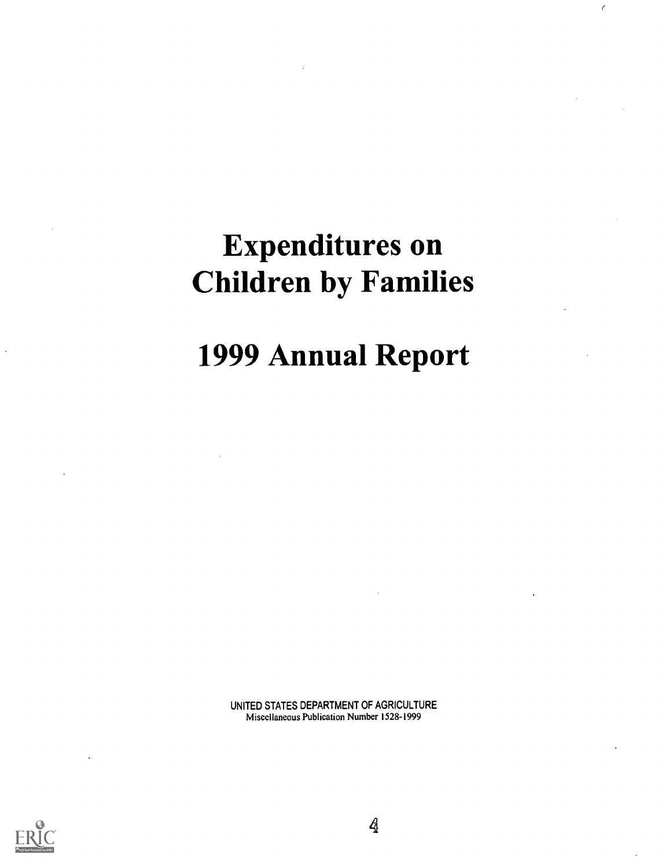# Expenditures on Children by Families

e

# 1999 Annual Report

UNITED STATES DEPARTMENT OF AGRICULTURE Miscellaneous Publication Number 1528-1999



4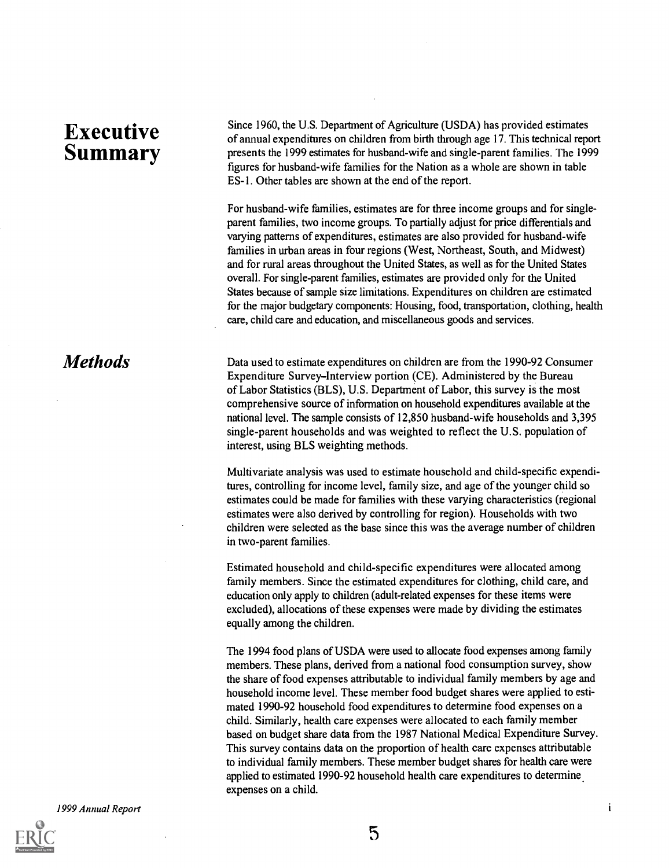## Executive Summary

**Methods** 

Since 1960, the U.S. Department of Agriculture (USDA) has provided estimates of annual expenditures on children from birth through age 17. This technical report presents the 1999 estimates for husband-wife and single-parent families. The 1999 figures for husband-wife families for the Nation as a whole are shown in table ES-1. Other tables are shown at the end of the report.

For husband-wife families, estimates are for three income groups and for singleparent families, two income groups. To partially adjust for price differentials and varying patterns of expenditures, estimates are also provided for husband-wife families in urban areas in four regions (West, Northeast, South, and Midwest) and for rural areas throughout the United States, as well as for the United States overall. For single-parent families, estimates are provided only for the United States because of sample size limitations. Expenditures on children are estimated for the major budgetary components: Housing, food, transportation, clothing, health care, child care and education, and miscellaneous goods and services.

Data used to estimate expenditures on children are from the 1990-92 Consumer Expenditure Survey-Interview portion (CE). Administered by the Bureau of Labor Statistics (BLS), U.S. Department of Labor, this survey is the most comprehensive source of information on household expenditures available at the national level. The sample consists of 12,850 husband-wife households and 3,395 single-parent households and was weighted to reflect the U.S. population of interest, using BLS weighting methods.

Multivariate analysis was used to estimate household and child-specific expenditures, controlling for income level, family size, and age of the younger child so estimates could be made for families with these varying characteristics (regional estimates were also derived by controlling for region). Households with two children were selected as the base since this was the average number of children in two-parent families.

Estimated household and child-specific expenditures were allocated among family members. Since the estimated expenditures for clothing, child care, and education only apply to children (adult-related expenses for these items were excluded), allocations of these expenses were made by dividing the estimates equally among the children.

The 1994 food plans of USDA were used to allocate food expenses among family members. These plans, derived from a national food consumption survey, show the share of food expenses attributable to individual family members by age and household income level. These member food budget shares were applied to estimated 1990-92 household food expenditures to determine food expenses on a child. Similarly, health care expenses were allocated to each family member based on budget share data from the 1987 National Medical Expenditure Survey. This survey contains data on the proportion of health care expenses attributable to individual family members. These member budget shares for health care were applied to estimated 1990-92 household health care expenditures to determine expenses on a child.

1999 Annual Report



 $\mathbf{i}$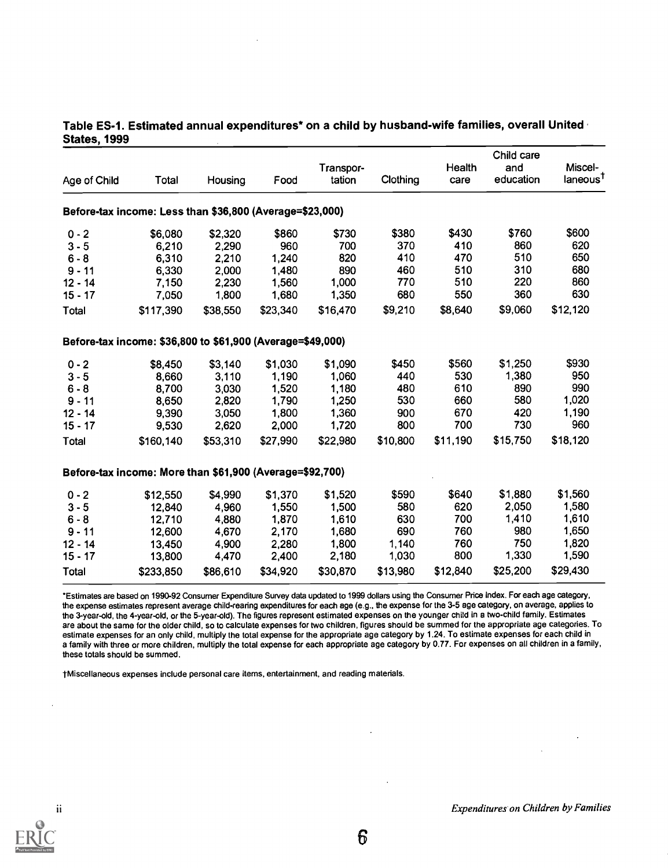| Age of Child | Total                                                      | Housing  | Food     | Transpor-<br>tation | Clothing | Health<br>care | Child care<br>and<br>education | Miscel-<br>laneous <sup>T</sup> |
|--------------|------------------------------------------------------------|----------|----------|---------------------|----------|----------------|--------------------------------|---------------------------------|
|              | Before-tax income: Less than \$36,800 (Average=\$23,000)   |          |          |                     |          |                |                                |                                 |
| $0 - 2$      | \$6,080                                                    | \$2,320  | \$860    | \$730               | \$380    | \$430          | \$760                          | \$600                           |
| $3 - 5$      | 6,210                                                      | 2,290    | 960      | 700                 | 370      | 410            | 860                            | 620                             |
| $6 - 8$      | 6,310                                                      | 2,210    | 1,240    | 820                 | 410      | 470            | 510                            | 650                             |
| $9 - 11$     | 6,330                                                      | 2,000    | 1,480    | 890                 | 460      | 510            | 310                            | 680                             |
| $12 - 14$    | 7,150                                                      | 2,230    | 1,560    | 1,000               | 770      | 510            | 220                            | 860                             |
| $15 - 17$    | 7,050                                                      | 1,800    | 1,680    | 1,350               | 680      | 550            | 360                            | 630                             |
| Total        | \$117,390                                                  | \$38,550 | \$23,340 | \$16,470            | \$9,210  | \$8,640        | \$9,060                        | \$12,120                        |
|              | Before-tax income: \$36,800 to \$61,900 (Average=\$49,000) |          |          |                     |          |                |                                |                                 |
| $0 - 2$      | \$8,450                                                    | \$3,140  | \$1,030  | \$1,090             | \$450    | \$560          | \$1,250                        | \$930                           |
| $3 - 5$      | 8,660                                                      | 3,110    | 1,190    | 1,060               | 440      | 530            | 1,380                          | 950                             |
| $6 - 8$      | 8,700                                                      | 3,030    | 1,520    | 1,180               | 480      | 610            | 890                            | 990                             |
| $9 - 11$     | 8,650                                                      | 2,820    | 1,790    | 1,250               | 530      | 660            | 580                            | 1,020                           |
| $12 - 14$    | 9,390                                                      | 3,050    | 1,800    | 1,360               | 900      | 670            | 420                            | 1,190                           |
| $15 - 17$    | 9,530                                                      | 2,620    | 2,000    | 1,720               | 800      | 700            | 730                            | 960                             |
| Total        | \$160,140                                                  | \$53,310 | \$27,990 | \$22,980            | \$10,800 | \$11,190       | \$15,750                       | \$18,120                        |
|              | Before-tax income: More than \$61,900 (Average=\$92,700)   |          |          |                     |          |                |                                |                                 |
| $0 - 2$      | \$12,550                                                   | \$4,990  | \$1,370  | \$1,520             | \$590    | \$640          | \$1,880                        | \$1,560                         |
| $3 - 5$      | 12,840                                                     | 4,960    | 1,550    | 1,500               | 580      | 620            | 2,050                          | 1,580                           |
| $6 - 8$      | 12,710                                                     | 4,880    | 1,870    | 1,610               | 630      | 700            | 1,410                          | 1,610                           |
| $9 - 11$     | 12,600                                                     | 4,670    | 2,170    | 1,680               | 690      | 760            | 980                            | 1,650                           |
| $12 - 14$    | 13,450                                                     | 4,900    | 2,280    | 1,800               | 1,140    | 760            | 750                            | 1,820                           |
| $15 - 17$    | 13,800                                                     | 4,470    | 2,400    | 2,180               | 1,030    | 800            | 1,330                          | 1,590                           |
| Total        | \$233,850                                                  | \$86,610 | \$34,920 | \$30,870            | \$13,980 | \$12,840       | \$25,200                       | \$29,430                        |

#### Table ES-1. Estimated annual expenditures\* on a child by husband-wife families, overall United States, 1999

\*Estimates are based on 1990-92 Consumer Expenditure Survey data updated to 1999 dollars using the Consumer Price Index. For each age category, the expense estimates represent average child-rearing expenditures for each age (e.g., the expense for the 3-5 age category, on average, applies to the 3-year-old, the 4-year-old, or the 5-year-old). The figures represent estimated expenses on the younger child in a two-child family. Estimates are about the same for the older child, so to calculate expenses for two children, figures should be summed for the appropriate age categories. To estimate expenses for an only child, multiply the total expense for the appropriate age category by 1.24. To estimate expenses for each child in a family with three or more children, multiply the total expense for each appropriate age category by 0.77. For expenses on all children in a family, these totals should be summed.

-I-Miscellaneous expenses include personal care items, entertainment, and reading materials.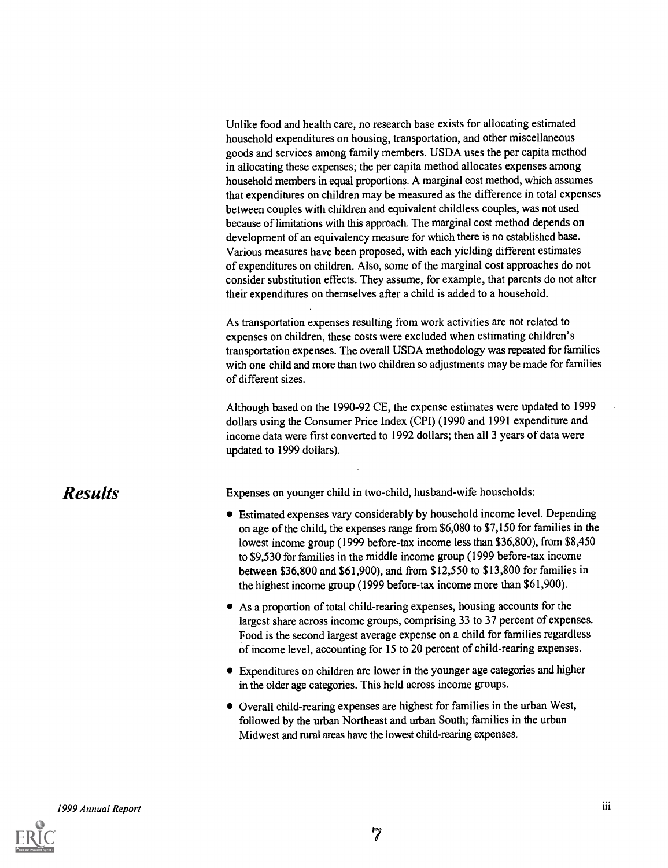Unlike food and health care, no research base exists for allocating estimated household expenditures on housing, transportation, and other miscellaneous goods and services among family members. USDA uses the per capita method in allocating these expenses; the per capita method allocates expenses among household members in equal proportions. A marginal cost method, which assumes that expenditures on children may be measured as the difference in total expenses between couples with children and equivalent childless couples, was not used because of limitations with this approach. The marginal cost method depends on development of an equivalency measure for which there is no established base. Various measures have been proposed, with each yielding different estimates of expenditures on children. Also, some of the marginal cost approaches do not consider substitution effects. They assume, for example, that parents do not alter their expenditures on themselves after a child is added to a household.

As transportation expenses resulting from work activities are not related to expenses on children, these costs were excluded when estimating children's transportation expenses. The overall USDA methodology was repeated for families with one child and more than two children so adjustments may be made for families of different sizes.

Although based on the 1990-92 CE, the expense estimates were updated to 1999 dollars using the Consumer Price Index (CPI) (1990 and 1991 expenditure and income data were first converted to 1992 dollars; then all 3 years of data were updated to 1999 dollars).

## Results

Expenses on younger child in two-child, husband-wife households:

- Estimated expenses vary considerably by household income level. Depending on age of the child, the expenses range from \$6,080 to \$7,150 for families in the lowest income group (1999 before-tax income less than \$36,800), from \$8,450 to \$9,530 for families in the middle income group (1999 before-tax income between \$36,800 and \$61,900), and from \$12,550 to \$13,800 for families in the highest income group (1999 before-tax income more than \$61,900).
- As a proportion of total child-rearing expenses, housing accounts for the largest share across income groups, comprising 33 to 37 percent of expenses. Food is the second largest average expense on a child for families regardless of income level, accounting for 15 to 20 percent of child-rearing expenses.
- Expenditures on children are lower in the younger age categories and higher in the older age categories. This held across income groups.
- Overall child-rearing expenses are highest for families in the urban West, followed by the urban Northeast and urban South; families in the urban Midwest and rural areas have the lowest child-rearing expenses.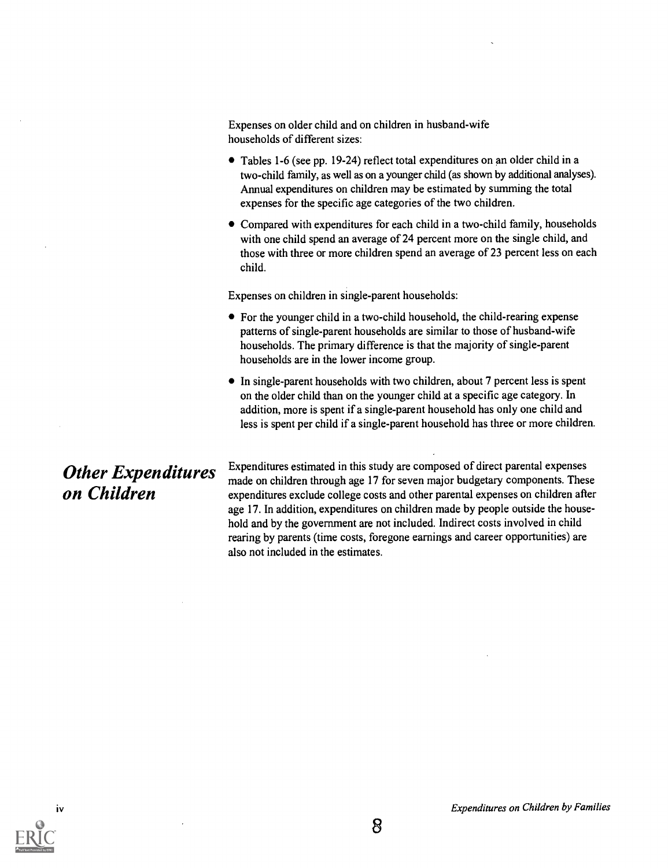Expenses on older child and on children in husband-wife households of different sizes:

- Tables 1-6 (see pp. 19-24) reflect total expenditures on an older child in a two-child family, as well as on a younger child (as shown by additional analyses). Annual expenditures on children may be estimated by summing the total expenses for the specific age categories of the two children.
- Compared with expenditures for each child in a two-child family, households with one child spend an average of 24 percent more on the single child, and those with three or more children spend an average of 23 percent less on each child.

Expenses on children in single-parent households:

- For the younger child in a two-child household, the child-rearing expense patterns of single-parent households are similar to those of husband-wife households. The primary difference is that the majority of single-parent households are in the lower income group.
- In single-parent households with two children, about 7 percent less is spent on the older child than on the younger child at a specific age category. In addition, more is spent if a single-parent household has only one child and less is spent per child if a single-parent household has three or more children.

## Other Expenditures on Children

Expenditures estimated in this study are composed of direct parental expenses made on children through age 17 for seven major budgetary components. These expenditures exclude college costs and other parental expenses on children after age 17. In addition, expenditures on children made by people outside the household and by the government are not included. Indirect costs involved in child rearing by parents (time costs, foregone earnings and career opportunities) are also not included in the estimates.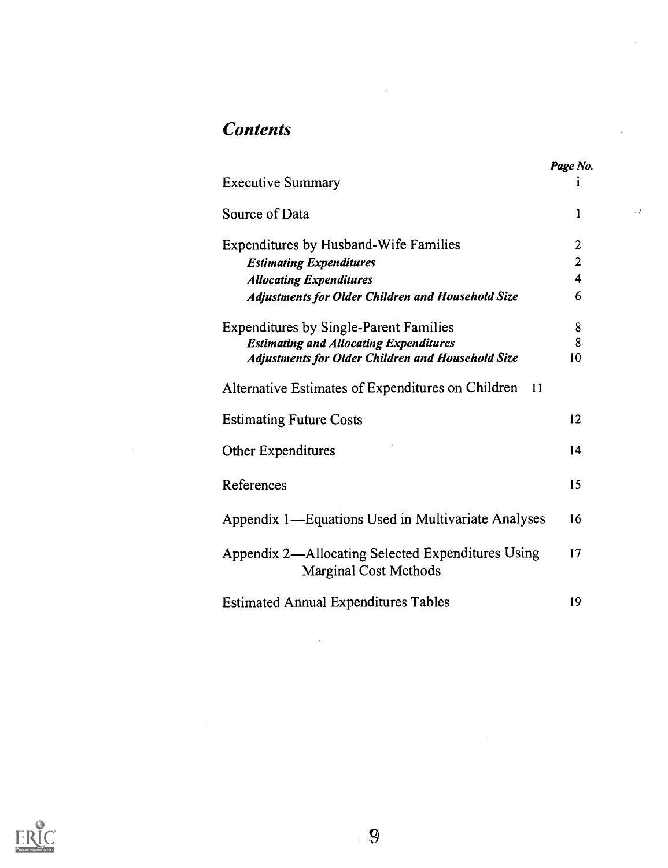## **Contents**

J.

|                                                                                   | Page No.                |
|-----------------------------------------------------------------------------------|-------------------------|
| <b>Executive Summary</b>                                                          | 1                       |
| Source of Data                                                                    | 1                       |
| <b>Expenditures by Husband-Wife Families</b>                                      | 2                       |
| <b>Estimating Expenditures</b>                                                    | $\overline{2}$          |
| <b>Allocating Expenditures</b>                                                    | $\overline{\mathbf{4}}$ |
| <b>Adjustments for Older Children and Household Size</b>                          | 6                       |
| <b>Expenditures by Single-Parent Families</b>                                     | 8                       |
| <b>Estimating and Allocating Expenditures</b>                                     | 8                       |
| <b>Adjustments for Older Children and Household Size</b>                          | 10                      |
| Alternative Estimates of Expenditures on Children<br>11                           |                         |
| <b>Estimating Future Costs</b>                                                    | 12                      |
| Other Expenditures                                                                | 14                      |
| References                                                                        | 15                      |
| Appendix 1—Equations Used in Multivariate Analyses                                | 16                      |
| Appendix 2—Allocating Selected Expenditures Using<br><b>Marginal Cost Methods</b> | 17                      |
| <b>Estimated Annual Expenditures Tables</b>                                       | 19                      |

 $\bar{z}$ 



 $\hat{\mathcal{E}}$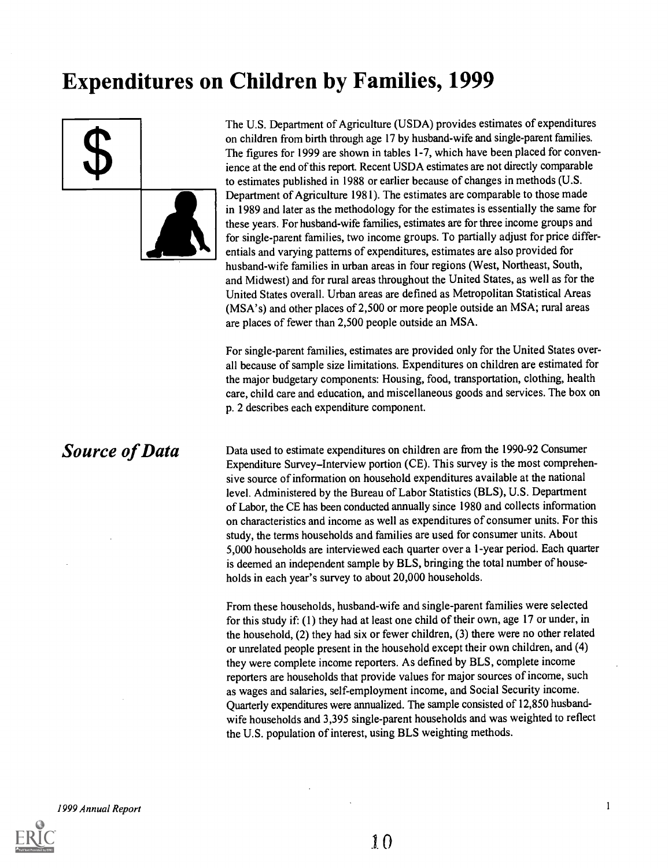# Expenditures on Children by Families, 1999



The U.S. Department of Agriculture (USDA) provides estimates of expenditures on children from birth through age 17 by husband-wife and single-parent families. The figures for 1999 are shown in tables 1-7, which have been placed for convenience at the end of this report. Recent USDA estimates are not directly comparable to estimates published in 1988 or earlier because of changes in methods (U.S. Department of Agriculture 1981). The estimates are comparable to those made in 1989 and later as the methodology for the estimates is essentially the same for these years. For husband-wife families, estimates are for three income groups and for single-parent families, two income groups. To partially adjust for price differentials and varying patterns of expenditures, estimates are also provided for husband-wife families in urban areas in four regions (West, Northeast, South, and Midwest) and for rural areas throughout the United States, as well as for the United States overall. Urban areas are defined as Metropolitan Statistical Areas (MSA's) and other places of 2,500 or more people outside an MSA; rural areas are places of fewer than 2,500 people outside an MSA.

For single-parent families, estimates are provided only for the United States overall because of sample size limitations. Expenditures on children are estimated for the major budgetary components: Housing, food, transportation, clothing, health care, child care and education, and miscellaneous goods and services. The box on p. 2 describes each expenditure component.

# Source of Data

Data used to estimate expenditures on children are from the 1990-92 Consumer Expenditure Survey-Interview portion (CE). This survey is the most comprehensive source of information on household expenditures available at the national level. Administered by the Bureau of Labor Statistics (BLS), U.S. Department of Labor, the CE has been conducted annually since 1980 and collects information on characteristics and income as well as expenditures of consumer units. For this study, the terms households and families are used for consumer units. About 5,000 households are interviewed each quarter over a 1-year period. Each quarter is deemed an independent sample by BLS, bringing the total number of households in each year's survey to about 20,000 households.

From these households, husband-wife and single-parent families were selected for this study if: (1) they had at least one child of their own, age 17 or under, in the household, (2) they had six or fewer children, (3) there were no other related or unrelated people present in the household except their own children, and (4) they were complete income reporters. As defined by BLS, complete income reporters are households that provide values for major sources of income, such as wages and salaries, self-employment income, and Social Security income. Quarterly expenditures were annualized. The sample consisted of 12,850 husbandwife households and 3,395 single-parent households and was weighted to reflect the U.S. population of interest, using BLS weighting methods.

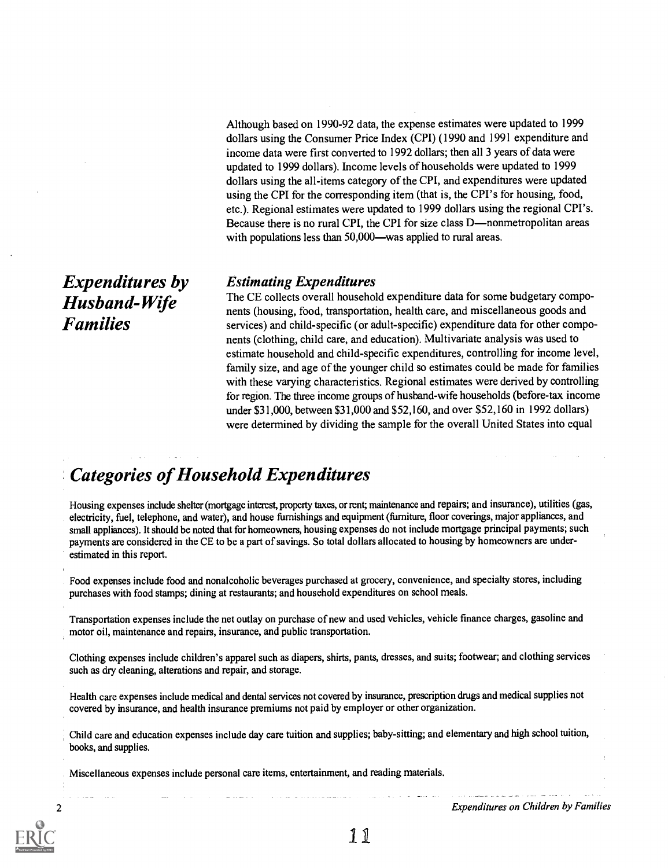Although based on 1990-92 data, the expense estimates were updated to 1999 dollars using the Consumer Price Index (CPI) (1990 and 1991 expenditure and income data were first converted to 1992 dollars; then all 3 years of data were updated to 1999 dollars). Income levels of households were updated to 1999 dollars using the all-items category of the CPI, and expenditures were updated using the CPI for the corresponding item (that is, the CPI's for housing, food, etc.). Regional estimates were updated to 1999 dollars using the regional CPI's. Because there is no rural CPI, the CPI for size class D—nonmetropolitan areas with populations less than  $50,000$ —was applied to rural areas.

#### Estimating Expenditures

The CE collects overall household expenditure data for some budgetary components (housing, food, transportation, health care, and miscellaneous goods and services) and child-specific (or adult-specific) expenditure data for other components (clothing, child care, and education). Multivariate analysis was used to estimate household and child-specific expenditures, controlling for income level, family size, and age of the younger child so estimates could be made for families with these varying characteristics. Regional estimates were derived by controlling for region. The three income groups of husband-wife households (before-tax income under \$31,000, between \$31,000 and \$52,160, and over \$52,160 in 1992 dollars) were determined by dividing the sample for the overall United States into equal

## Categories of Household Expenditures

Housing expenses include shelter (mortgage interest, property taxes, or rent; maintenance and repairs; and insurance), utilities (gas, electricity, fuel, telephone, and water), and house furnishings and equipment (furniture, floor coverings, major appliances, and small appliances). It should be noted that for homeowners, housing expenses do not include mortgage principal payments; such payments are considered in the CE to be a part of savings. So total dollars allocated to housing by homeowners are underestimated in this report.

Food expenses include food and nonalcoholic beverages purchased at grocery, convenience, and specialty stores, including purchases with food stamps; dining at restaurants; and household expenditures on school meals.

Transportation expenses include the net outlay on purchase of new and used vehicles, vehicle finance charges, gasoline and motor oil, maintenance and repairs, insurance, and public transportation.

Clothing expenses include children's apparel such as diapers, shirts, pants, dresses, and suits; footwear; and clothing services such as dry cleaning, alterations and repair, and storage.

Health care expenses include medical and dental services not covered by insurance, prescription drugs and medical supplies not covered by insurance, and health insurance premiums not paid by employer or other organization.

Child care and education expenses include day care tuition and supplies; baby-sitting; and elementary and high school tuition, books, and supplies.

Miscellaneous expenses include personal care items, entertainment, and reading materials.

2 Expenditures on Children by Families

Expenditures by Husband-Wife Families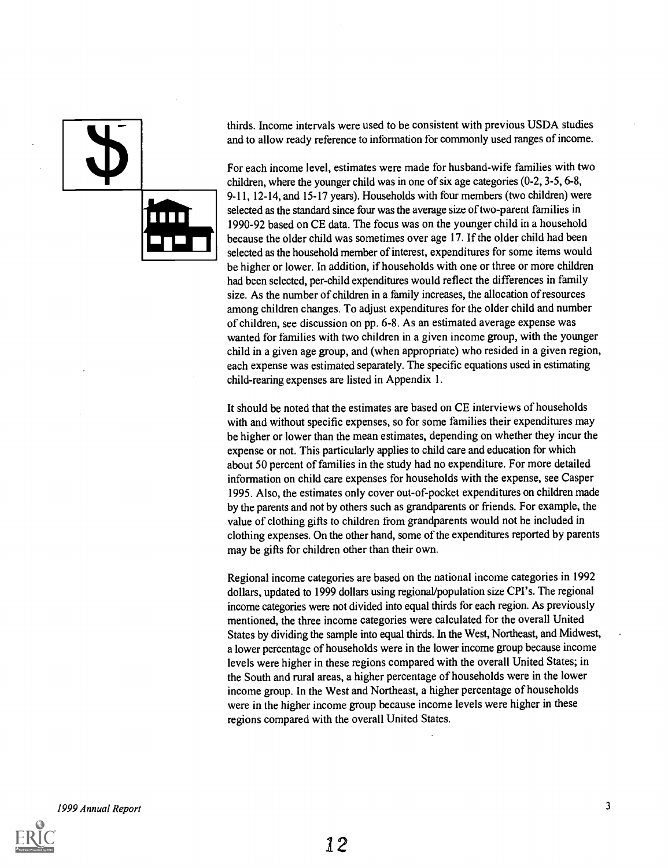thirds. Income intervals were used to be consistent with previous USDA studies and to allow ready reference to information for commonly used ranges of income.

For each income level, estimates were made for husband-wife families with two children, where the younger child was in one of six age categories (0-2, 3-5, 6-8, 9-11, 12-14, and 15-17 years). Households with four members (two children) were selected as the standard since four was the average size of two-parent families in 1990-92 based on CE data. The focus was on the younger child in a household because the older child was sometimes over age 17. If the older child had been selected as the household member of interest, expenditures for some items would be higher or lower. In addition, if households with one or three or more children had been selected, per-child expenditures would reflect the differences in family size. As the number of children in a family increases, the allocation of resources among children changes. To adjust expenditures for the older child and number of children, see discussion on pp. 6-8. As an estimated average expense was wanted for families with two children in a given income group, with the younger child in a given age group, and (when appropriate) who resided in a given region, each expense was estimated separately. The specific equations used in estimating child-rearing expenses are listed in Appendix 1.

It should be noted that the estimates are based on CE interviews of households with and without specific expenses, so for some families their expenditures may be higher or lower than the mean estimates, depending on whether they incur the expense or not. This particularly applies to child care and education for which about 50 percent of families in the study had no expenditure. For more detailed information on child care expenses for households with the expense, see Casper 1995. Also, the estimates only cover out-of-pocket expenditures on children made by the parents and not by others such as grandparents or friends. For example, the value of clothing gifts to children from grandparents would not be included in clothing expenses. On the other hand, some of the expenditures reported by parents may be gifts for children other than their own.

Regional income categories are based on the national income categories in 1992 dollars, updated to 1999 dollars using regional/population size CPI's. The regional income categories were not divided into equal thirds for each region. As previously mentioned, the three income categories were calculated for the overall United States by dividing the sample into equal thirds. In the West, Northeast, and Midwest, a lower percentage of households were in the lower income group because income levels were higher in these regions compared with the overall United States; in the South and rural areas, a higher percentage of households were in the lower income group. In the West and Northeast, a higher percentage of households were in the higher income group because income levels were higher in these regions compared with the overall United States.

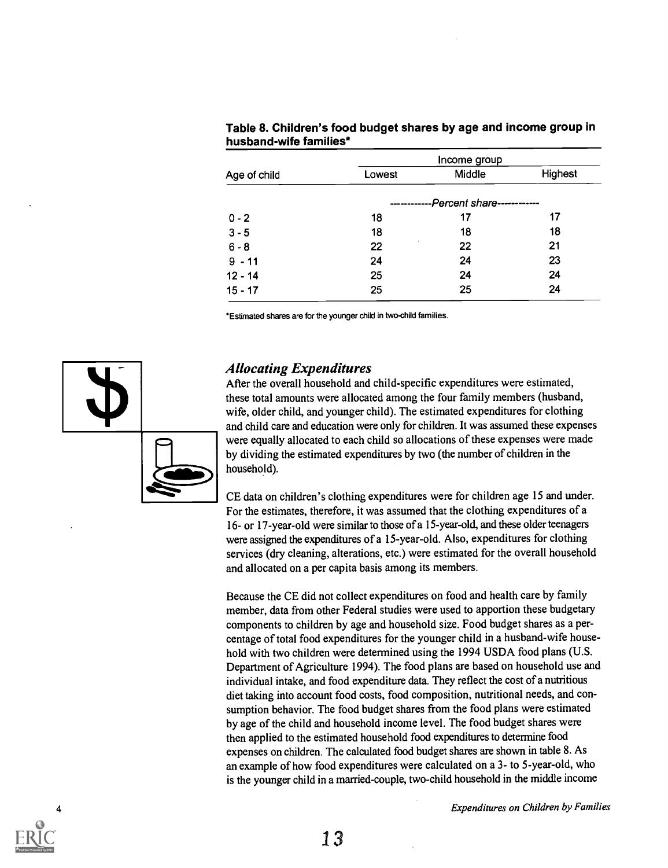|              |        | Income group               |                |
|--------------|--------|----------------------------|----------------|
| Age of child | Lowest | Middle                     | <b>Highest</b> |
|              |        | -Percent share------------ |                |
| $0 - 2$      | 18     | 17                         | 17             |
| $3 - 5$      | 18     | 18                         | 18             |
| $6 - 8$      | 22     | 22                         | 21             |
| $9 - 11$     | 24     | 24                         | 23             |
| $12 - 14$    | 25     | 24                         | 24             |
| $15 - 17$    | 25     | 25                         | 24             |

#### Table 8. Children's food budget shares by age and income group in husband-wife families\*

\*Estimated shares are for the younger child in two-child families.



### Allocating Expenditures

After the overall household and child-specific expenditures were estimated, these total amounts were allocated among the four family members (husband, wife, older child, and younger child). The estimated expenditures for clothing and child care and education were only for children. It was assumed these expenses were equally allocated to each child so allocations of these expenses were made by dividing the estimated expenditures by two (the number of children in the household).

CE data on children's clothing expenditures were for children age 15 and under. For the estimates, therefore, it was assumed that the clothing expenditures of a 16- or 17-year-old were similar to those of a 15-year-old, and these older teenagers were assigned the expenditures of a 15-year-old. Also, expenditures for clothing services (dry cleaning, alterations, etc.) were estimated for the overall household and allocated on a per capita basis among its members.

Because the CE did not collect expenditures on food and health care by family member, data from other Federal studies were used to apportion these budgetary components to children by age and household size. Food budget shares as a percentage of total food expenditures for the younger child in a husband-wife household with two children were determined using the 1994 USDA food plans (U.S. Department of Agriculture 1994). The food plans are based on household use and individual intake, and food expenditure data. They reflect the cost of a nutritious diet taking into account food costs, food composition, nutritional needs, and consumption behavior. The food budget shares from the food plans were estimated by age of the child and household income level. The food budget shares were then applied to the estimated household food expenditures to determine food expenses on children. The calculated food budget shares are shown in table 8. As an example of how food expenditures were calculated on a 3- to 5-year-old, who is the younger child in a married-couple, two-child household in the middle income



**Expenditures on Children by Families**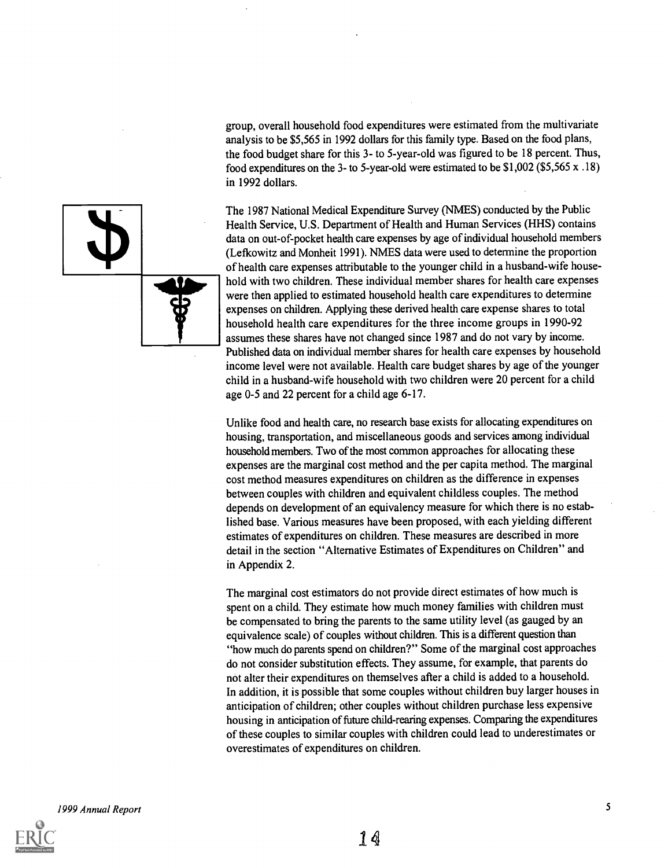group, overall household food expenditures were estimated from the multivariate analysis to be \$5,565 in 1992 dollars for this family type. Based on the food plans, the food budget share for this 3- to 5-year-old was figured to be 18 percent. Thus, food expenditures on the 3- to 5-year-old were estimated to be \$1,002 (\$5,565 x .18) in 1992 dollars.

The 1987 National Medical Expenditure Survey (NMES) conducted by the Public Health Service, U.S. Department of Health and Human Services (HHS) contains data on out-of-pocket health care expenses by age of individual household members (Lefkowitz and Monheit 1991). NMES data were used to determine the proportion of health care expenses attributable to the younger child in a husband-wife household with two children. These individual member shares for health care expenses were then applied to estimated household health care expenditures to determine expenses on children. Applying these derived health care expense shares to total household health care expenditures for the three income groups in 1990-92 assumes these shares have not changed since 1987 and do not vary by income. Published data on individual member shares for health care expenses by household income level were not available. Health care budget shares by age of the younger child in a husband-wife household with two children were 20 percent for a child age 0-5 and 22 percent for a child age 6-17.

Unlike food and health care, no research base exists for allocating expenditures on housing, transportation, and miscellaneous goods and services among individual household members. Two of the most common approaches for allocating these expenses are the marginal cost method and the per capita method. The marginal cost method measures expenditures on children as the difference in expenses between couples with children and equivalent childless couples. The method depends on development of an equivalency measure for which there is no established base. Various measures have been proposed, with each yielding different estimates of expenditures on children. These measures are described in more detail in the section "Alternative Estimates of Expenditures on Children" and in Appendix 2.

The marginal cost estimators do not provide direct estimates of how much is spent on a child. They estimate how much money families with children must be compensated to bring the parents to the same utility level (as gauged by an equivalence scale) of couples without children. This is a different question than "how much do parents spend on children?" Some of the marginal cost approaches do not consider substitution effects. They assume, for example, that parents do not alter their expenditures on themselves after a child is added to a household. In addition, it is possible that some couples without children buy larger houses in anticipation of children; other couples without children purchase less expensive housing in anticipation of future child-rearing expenses. Comparing the expenditures of these couples to similar couples with children could lead to underestimates or overestimates of expenditures on children.

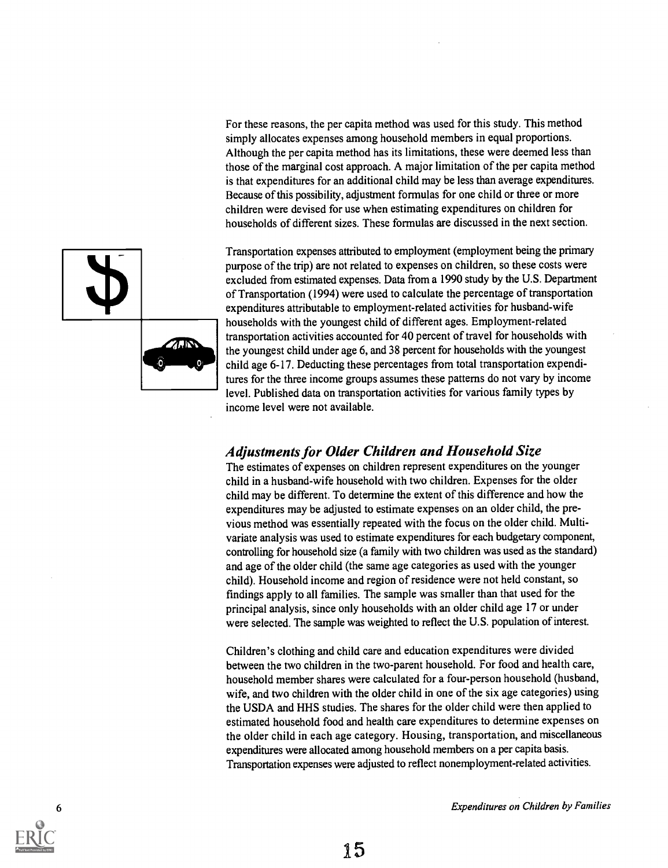For these reasons, the per capita method was used for this study. This method simply allocates expenses among household members in equal proportions. Although the per capita method has its limitations, these were deemed less than those of the marginal cost approach. A major limitation of the per capita method is that expenditures for an additional child may be less than average expenditures. Because of this possibility, adjustment formulas for one child or three or more children were devised for use when estimating expenditures on children for households of different sizes. These formulas are discussed in the next section.



### Adjustments for Older Children and Household Size

The estimates of expenses on children represent expenditures on the younger child in a husband-wife household with two children. Expenses for the older child may be different. To determine the extent of this difference and how the expenditures may be adjusted to estimate expenses on an older child, the previous method was essentially repeated with the focus on the older child. Multivariate analysis was used to estimate expenditures for each budgetary component, controlling for household size (a family with two children was used as the standard) and age of the older child (the same age categories as used with the younger child). Household income and region of residence were not held constant, so findings apply to all families. The sample was smaller than that used for the principal analysis, since only households with an older child age 17 or under were selected. The sample was weighted to reflect the U.S. population of interest.

Children's clothing and child care and education expenditures were divided between the two children in the two-parent household. For food and health care, household member shares were calculated for a four-person household (husband, wife, and two children with the older child in one of the six age categories) using the USDA and HHS studies. The shares for the older child were then applied to estimated household food and health care expenditures to determine expenses on the older child in each age category. Housing, transportation, and miscellaneous expenditures were allocated among household members on a per capita basis. Transportation expenses were adjusted to reflect nonemployment-related activities.



6 Expenditures on Children by Families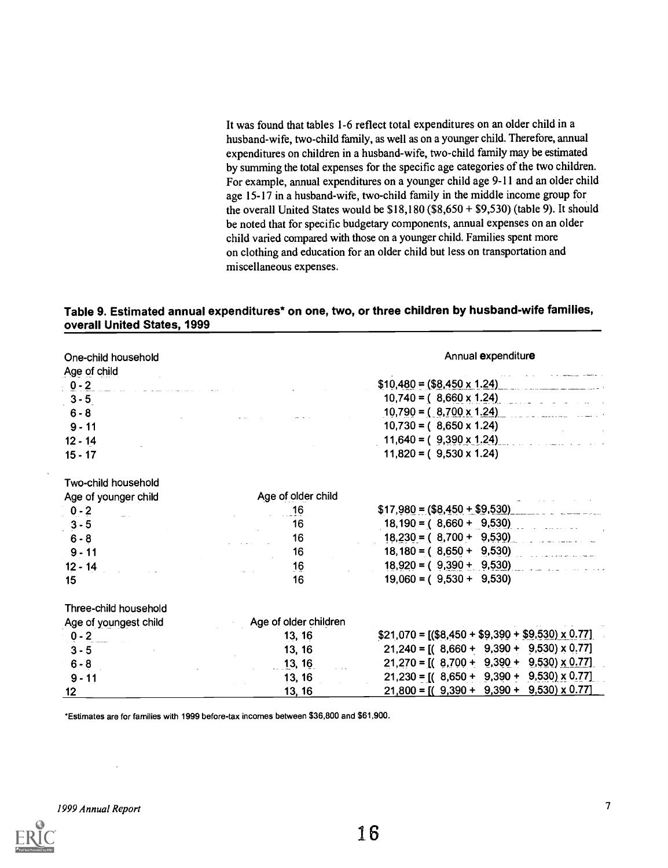It was found that tables 1-6 reflect total expenditures on an older child in a husband-wife, two-child family, as well as on a younger child. Therefore, annual expenditures on children in a husband-wife, two-child family may be estimated by summing the total expenses for the specific age categories of the two children. For example, annual expenditures on a younger child age 9-11 and an older child age 15-17 in a husband-wife, two-child family in the middle income group for the overall United States would be  $$18,180$  ( $$8,650 + $9,530$ ) (table 9). It should be noted that for specific budgetary components, annual expenses on an older child varied compared with those on a younger child. Families spent more on clothing and education for an older child but less on transportation and miscellaneous expenses.

#### Table 9. Estimated annual expenditures\* on one, two, or three children by husband-wife families, overall United States, 1999

| One-child household   |                       | Annual expenditure                                      |
|-----------------------|-----------------------|---------------------------------------------------------|
| Age of child          |                       |                                                         |
| $0 - 2$               |                       | $$10,480 = ($8,450 \times 1.24)$                        |
| $3 - 5$               |                       | $10,740 = (8,660 \times 1.24)$                          |
| $6 - 8$               |                       | $10,790 = (8,700 \times 1.24)$                          |
| $9 - 11$              |                       | $10,730 = (8,650 \times 1.24)$                          |
| $12 - 14$             |                       | $11,640 = (9,390 \times 1.24)$                          |
| $15 - 17$             |                       | $11,820 = (9,530 \times 1.24)$                          |
| Two-child household   |                       |                                                         |
| Age of younger child  | Age of older child    |                                                         |
| $0 - 2$               | 16                    | $$17,980 = ($8,450 + $9,530)$                           |
| $3 - 5$               | 16                    | $18,190 = (8,660 + 9,530)$                              |
| $6 - 8$               | 16                    | $18,230 = (8,700 + 9,530)$                              |
| $9 - 11$              | 16                    | $18,180 = (8,650 + 9,530)$                              |
| $12 - 14$             | 16                    | $18,920 = (9,390 + 9,530)$                              |
| 15                    | 16                    | $19,060 = (9,530 + 9,530)$                              |
| Three-child household |                       |                                                         |
| Age of youngest child | Age of older children |                                                         |
| $0 - 2$               | 13, 16                | $$21,070 = [(\$8,450 + \$9,390 + \$9,530) \times 0.77]$ |
| $3 - 5$               | 13, 16                | $21,240 = [(8,660 + 9,390 + 9,530) \times 0.77]$        |
| $6 - 8$               | 13, 16                | $21,270 = [(8,700 + 9,390 + 9,530) \times 0.77]$        |
| $9 - 11$              | 13, 16                | $21,230 = [(8,650 + 9,390 + 9,530) \times 0.77]$        |
| 12 <sub>2</sub>       | 13, 16                | $21,800 = [(9,390 + 9,390 + 9,530) \times 0.77]$        |

\*Estimates are for families with 1999 before-tax incomes between \$36,800 and \$61,900.

1999 Annual Report 7

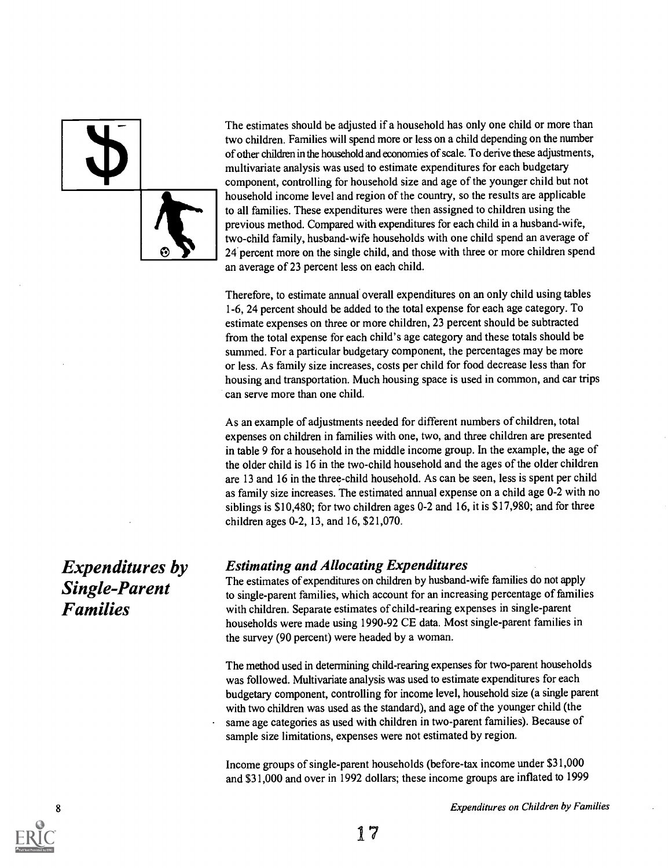The estimates should be adjusted if a household has only one child or more than two children. Families will spend more or less on a child depending on the number of other children in the household and economies of scale. To derive these adjustments, multivariate analysis was used to estimate expenditures for each budgetary component, controlling for household size and age of the younger child but not household income level and region of the country, so the results are applicable to all families. These expenditures were then assigned to children using the previous method. Compared with expenditures for each child in a husband-wife, two-child family, husband-wife households with one child spend an average of 24 percent more on the single child, and those with three or more children spend an average of 23 percent less on each child.

Therefore, to estimate annual overall expenditures on an only child using tables 1-6, 24 percent should be added to the total expense for each age category. To estimate expenses on three or more children, 23 percent should be subtracted from the total expense for each child's age category and these totals should be summed. For a particular budgetary component, the percentages may be more or less. As family size increases, costs per child for food decrease less than for housing and transportation. Much housing space is used in common, and car trips can serve more than one child.

As an example of adjustments needed for different numbers of children, total expenses on children in families with one, two, and three children are presented in table 9 for a household in the middle income group. In the example, the age of the older child is 16 in the two-child household and the ages of the older children are 13 and 16 in the three-child household. As can be seen, less is spent per child as family size increases. The estimated annual expense on a child age 0-2 with no siblings is \$10,480; for two children ages 0-2 and 16, it is \$17,980; and for three children ages 0-2, 13, and 16, \$21,070.

### Estimating and Allocating Expenditures

The estimates of expenditures on children by husband-wife families do not apply to single-parent families, which account for an increasing percentage of families with children. Separate estimates of child-rearing expenses in single-parent households were made using 1990-92 CE data. Most single-parent families in the survey (90 percent) were headed by a woman.

The method used in determining child-rearing expenses for two-parent households was followed. Multivariate analysis was used to estimate expenditures for each budgetary component, controlling for income level, household size (a single parent with two children was used as the standard), and age of the younger child (the same age categories as used with children in two-parent families). Because of sample size limitations, expenses were not estimated by region.

Income groups of single-parent households (before-tax income under \$31,000 and \$31,000 and over in 1992 dollars; these income groups are inflated to 1999

Expenditures by Single-Parent Families



**Expenditures on Children by Families**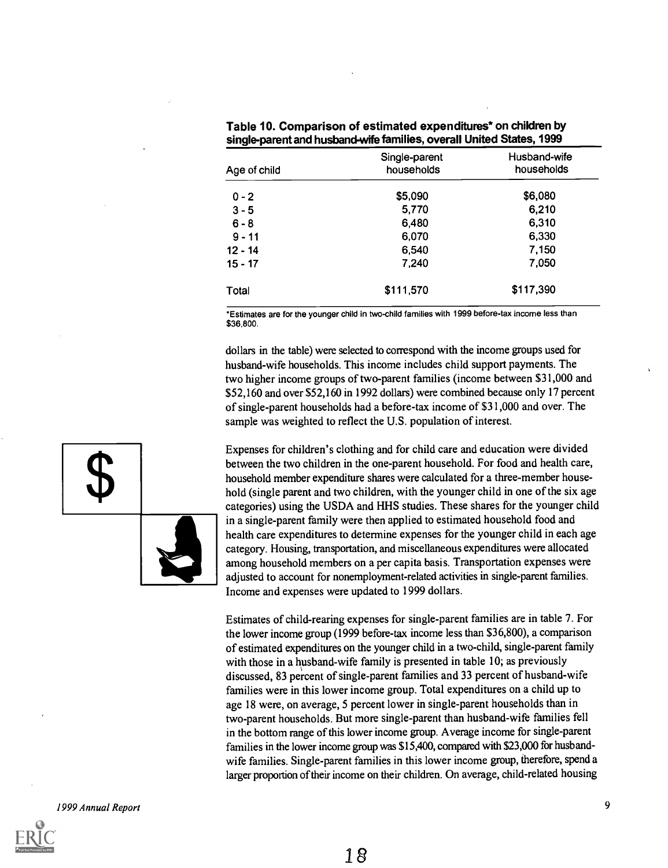| Single-parent<br>households | Husband-wife<br>households |
|-----------------------------|----------------------------|
| \$5,090                     | \$6,080                    |
| 5,770                       | 6,210                      |
| 6,480                       | 6,310                      |
| 6,070                       | 6,330                      |
| 6,540                       | 7,150                      |
| 7,240                       | 7,050                      |
| \$111,570                   | \$117,390                  |
|                             |                            |

| Table 10. Comparison of estimated expenditures* on children by       |  |
|----------------------------------------------------------------------|--|
| single-parent and husband-wife families, overall United States, 1999 |  |

\*Estimates are for the younger child in two-child families with 1999 before-tax income less than \$36,800.

dollars in the table) were selected to correspond with the income groups used for husband-wife households. This income includes child support payments. The two higher income groups of two-parent families (income between \$31,000 and \$52,160 and over \$52,160 in 1992 dollars) were combined because only 17 percent of single-parent households had a before-tax income of \$31,000 and over. The sample was weighted to reflect the U.S. population of interest.

Expenses for children's clothing and for child care and education were divided between the two children in the one-parent household. For food and health care, household member expenditure shares were calculated for a three-member household (single parent and two children, with the younger child in one of the six age categories) using the USDA and HHS studies. These shares for the younger child in a single-parent family were then applied to estimated household food and health care expenditures to determine expenses for the younger child in each age category. Housing, transportation, and miscellaneous expenditures were allocated among household members on a per capita basis. Transportation expenses were adjusted to account for nonemployment-related activities in single-parent families. Income and expenses were updated to 1999 dollars.

Estimates of child-rearing expenses for single-parent families are in table 7. For the lower income group (1999 before-tax income less than \$36,800), a comparison of estimated expenditures on the younger child in a two-child, single-parent family with those in a husband-wife family is presented in table 10; as previously discussed, 83 percent of single-parent families and 33 percent of husband-wife families were in this lower income group. Total expenditures on a child up to age 18 were, on average, 5 percent lower in single-parent households than in two-parent households. But more single-parent than husband-wife families fell in the bottom range of this lower income group. Average income for single-parent families in the lower income group was \$15,400, compared with \$23,000 for husbandwife families. Single-parent families in this lower income group, therefore, spend a larger proportion of their income on their children. On average, child-related housing

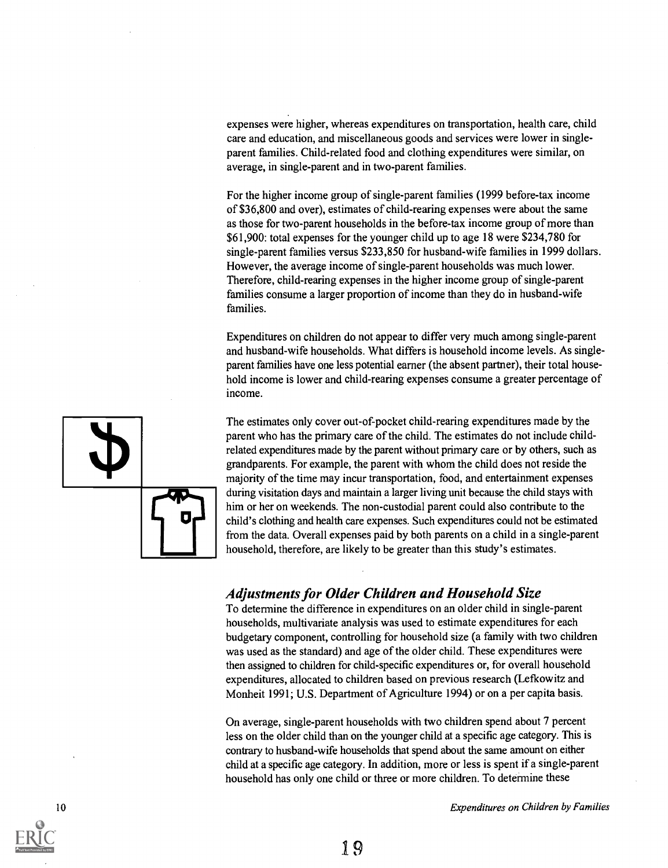expenses were higher, whereas expenditures on transportation, health care, child care and education, and miscellaneous goods and services were lower in singleparent families. Child-related food and clothing expenditures were similar, on average, in single-parent and in two-parent families.

For the higher income group of single-parent families (1999 before-tax income of \$36,800 and over), estimates of child-rearing expenses were about the same as those for two-parent households in the before-tax income group of more than \$61,900: total expenses for the younger child up to age 18 were \$234,780 for single-parent families versus \$233,850 for husband-wife families in 1999 dollars. However, the average income of single-parent households was much lower. Therefore, child-rearing expenses in the higher income group of single-parent families consume a larger proportion of income than they do in husband-wife families.

Expenditures on children do not appear to differ very much among single-parent and husband-wife households. What differs is household income levels. As singleparent families have one less potential earner (the absent partner), their total household income is lower and child-rearing expenses consume a greater percentage of income.

The estimates only cover out-of-pocket child-rearing expenditures made by the parent who has the primary care of the child. The estimates do not include childrelated expenditures made by the parent without primary care or by others, such as grandparents. For example, the parent with whom the child does not reside the majority of the time may incur transportation, food, and entertainment expenses during visitation days and maintain a larger living unit because the child stays with him or her on weekends. The non-custodial parent could also contribute to the child's clothing and health care expenses. Such expenditures could not be estimated from the data. Overall expenses paid by both parents on a child in a single-parent household, therefore, are likely to be greater than this study's estimates.

### Adjustments for Older Children and Household Size

To determine the difference in expenditures on an older child in single-parent households, multivariate analysis was used to estimate expenditures for each budgetary component, controlling for household size (a family with two children was used as the standard) and age of the older child. These expenditures were then assigned to children for child-specific expenditures or, for overall household expenditures, allocated to children based on previous research (Lefkowitz and Monheit 1991; U.S. Department of Agriculture 1994) or on a per capita basis.

On average, single-parent households with two children spend about 7 percent less on the older child than on the younger child at a specific age category. This is contrary to husband-wife households that spend about the same amount on either child at a specific age category. In addition, more or less is spent if a single-parent household has only one child or three or more children. To determine these



10 **Expenditures on Children by Families Expenditures on Children by Families**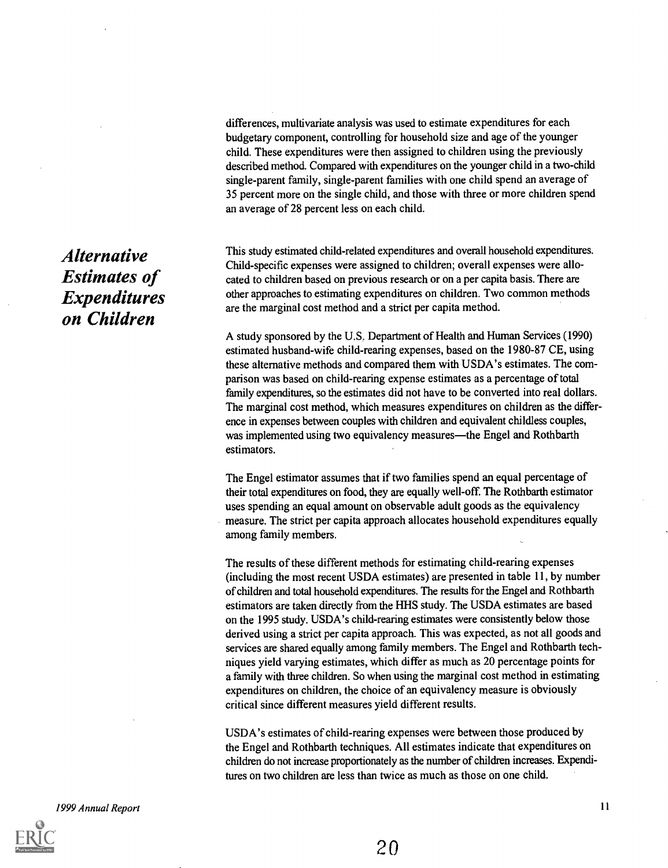differences, multivariate analysis was used to estimate expenditures for each budgetary component, controlling for household size and age of the younger child. These expenditures were then assigned to children using the previously described method. Compared with expenditures on the younger child in a two-child single-parent family, single-parent families with one child spend an average of 35 percent more on the single child, and those with three or more children spend an average of 28 percent less on each child.

This study estimated child-related expenditures and overall household expenditures. Child-specific expenses were assigned to children; overall expenses were allocated to children based on previous research or on a per capita basis. There are other approaches to estimating expenditures on children. Two common methods are the marginal cost method and a strict per capita method.

A study sponsored by the U.S. Department of Health and Human Services (1990) estimated husband-wife child-rearing expenses, based on the 1980-87 CE, using these alternative methods and compared them with USDA's estimates. The comparison was based on child-rearing expense estimates as a percentage of total family expenditures, so the estimates did not have to be converted into real dollars. The marginal cost method, which measures expenditures on children as the difference in expenses between couples with children and equivalent childless couples, was implemented using two equivalency measures—the Engel and Rothbarth estimators.

The Engel estimator assumes that if two families spend an equal percentage of their total expenditures on food, they are equally well -off. The Rothbarth estimator uses spending an equal amount on observable adult goods as the equivalency measure. The strict per capita approach allocates household expenditures equally among family members.

The results of these different methods for estimating child-rearing expenses (including the most recent USDA estimates) are presented in table 11, by number of children and total household expenditures. The results for the Engel and Rothbarth estimators are taken directly from the HHS study. The USDA estimates are based on the 1995 study. USDA's child-rearing estimates were consistently below those derived using a strict per capita approach. This was expected, as not all goods and services are shared equally among family members. The Engel and Rothbarth techniques yield varying estimates, which differ as much as 20 percentage points for a family with three children. So when using the marginal cost method in estimating expenditures on children, the choice of an equivalency measure is obviously critical since different measures yield different results.

USDA's estimates of child-rearing expenses were between those produced by the Engel and Rothbarth techniques. All estimates indicate that expenditures on children do not increase proportionately as the number of children increases. Expenditures on two children are less than twice as much as those on one child.

Alternative Estimates of Expenditures on Children



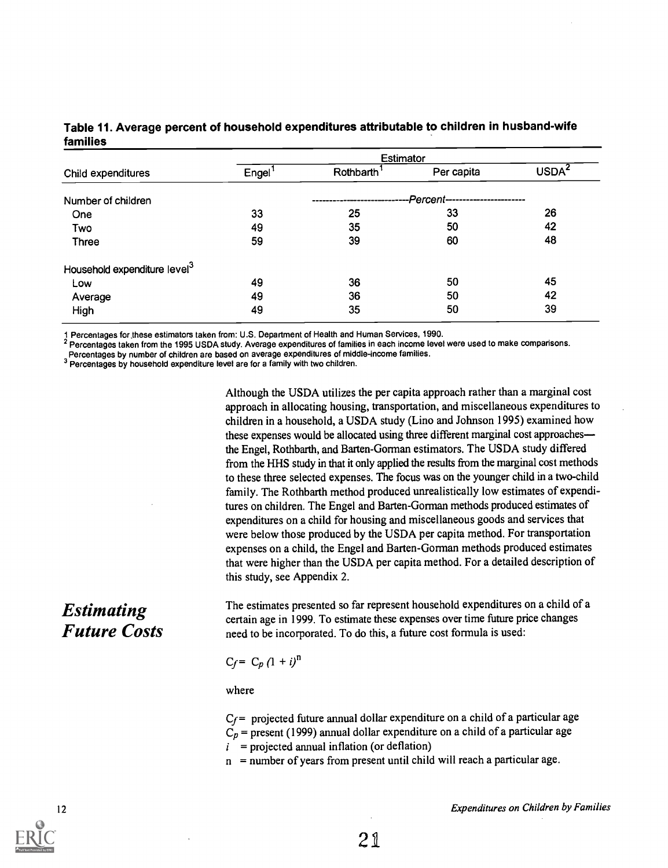#### Table 11. Average percent of household expenditures attributable to children in husband-wife families

| Engel | Rothbarth <sup>1</sup> | Per capita | USDA <sup>2</sup>                                  |
|-------|------------------------|------------|----------------------------------------------------|
|       |                        |            |                                                    |
| 33    | 25                     | 33         | 26                                                 |
| 49    | 35                     | 50         | 42                                                 |
| 59    | 39                     | 60         | 48                                                 |
|       |                        |            |                                                    |
| 49    | 36                     | 50         | 45                                                 |
| 49    | 36                     | 50         | 42                                                 |
| 49    | 35                     | 50         | 39                                                 |
|       |                        |            | <b>Estimator</b><br>-Percent---------------------- |

1 Percentages for.these estimators taken from: U.S. Department of Health and Human Services, 1990.

2 Percentages taken from the 1995 USDA study. Average expenditures of families in each income level were used to make comparisons.

Percentages by number of children are based on average expenditures of middle-income families.

3 Percentages by household expenditure level are for a family with two children.

Although the USDA utilizes the per capita approach rather than a marginal cost approach in allocating housing, transportation, and miscellaneous expenditures to children in a household, a USDA study (Lino and Johnson 1995) examined how these expenses would be allocated using three different marginal cost approaches the Engel, Rothbarth, and Barten-Gorman estimators. The USDA study differed from the HHS study in that it only applied the results from the marginal cost methods to these three selected expenses. The focus was on the younger child in a two-child family. The Rothbarth method produced unrealistically low estimates of expenditures on children. The Engel and Barten-Gorman methods produced estimates of expenditures on a child for housing and miscellaneous goods and services that were below those produced by the USDA per capita method. For transportation expenses on a child, the Engel and Barten-Gorman methods produced estimates that were higher than the USDA per capita method. For a detailed description of this study, see Appendix 2.

## Estimating Future Costs

The estimates presented so far represent household expenditures on a child of a certain age in 1999. To estimate these expenses over time future price changes need to be incorporated. To do this, a future cost formula is used:

#### $C_f = C_p (1 + i)^n$

where

 $C_f$ = projected future annual dollar expenditure on a child of a particular age  $C_p$  = present (1999) annual dollar expenditure on a child of a particular age  $i$  = projected annual inflation (or deflation)

 $n =$  number of years from present until child will reach a particular age.

12 **Expenditures on Children by Families**  $\mu$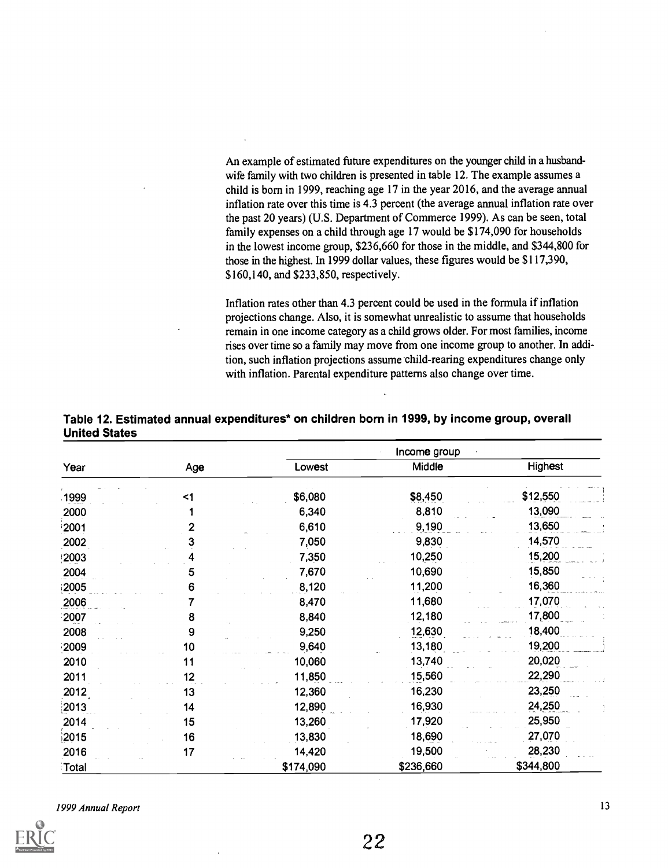An example of estimated future expenditures on the younger child in a husbandwife family with two children is presented in table 12. The example assumes a child is born in 1999, reaching age 17 in the year 2016, and the average annual inflation rate over this time is 4.3 percent (the average annual inflation rate over the past 20 years) (U.S. Department of Commerce 1999). As can be seen, total family expenses on a child through age 17 would be \$174,090 for households in the lowest income group, \$236,660 for those in the middle, and \$344,800 for those in the highest. In 1999 dollar values, these figures would be \$117,390, \$160,140, and \$233,850, respectively.

Inflation rates other than 4.3 percent could be used in the formula if inflation projections change. Also, it is somewhat unrealistic to assume that households remain in one income category as a child grows older. For most families, income rises over time so a family may move from one income group to another. In addition, such inflation projections assume child-rearing expenditures change only with inflation. Parental expenditure patterns also change over time.

|       |       |           | Income group |           |  |  |  |
|-------|-------|-----------|--------------|-----------|--|--|--|
| Year  | Age   | Lowest    | Middle       | Highest   |  |  |  |
| 1999  | $<$ 1 | \$6,080   | \$8,450      | \$12,550  |  |  |  |
| 2000  |       | 6,340     | 8,810        | 13,090    |  |  |  |
| 2001  | 2     | 6,610     | 9,190        | 13,650    |  |  |  |
| 2002  | 3     | 7,050     | 9,830        | 14,570    |  |  |  |
| 2003  |       | 7,350     | 10,250       | 15,200    |  |  |  |
| 2004  | 5     | 7,670     | 10,690       | 15,850    |  |  |  |
| 2005  | 6     | 8,120     | 11,200       | 16,360    |  |  |  |
| 2006  |       | 8,470     | 11,680       | 17,070    |  |  |  |
| 2007  | 8     | 8,840     | 12,180       | 17,800    |  |  |  |
| 2008  | 9     | 9,250     | 12,630       | 18,400    |  |  |  |
| 2009  | 10    | 9,640     | 13,180       | 19,200    |  |  |  |
| 2010  | 11    | 10,060    | 13,740       | 20,020    |  |  |  |
| 2011  | 12    | 11,850    | 15,560       | 22,290    |  |  |  |
| 2012  | 13    | 12,360    | 16,230       | 23,250    |  |  |  |
| 2013  | 14    | 12,890    | 16,930       | 24,250    |  |  |  |
| 2014  | 15    | 13,260    | 17,920       | 25,950    |  |  |  |
| 2015  | 16    | 13,830    | 18,690       | 27,070    |  |  |  |
| 2016  | 17    | 14,420    | 19,500       | 28,230    |  |  |  |
| Total |       | \$174,090 | \$236,660    | \$344,800 |  |  |  |

#### Table 12. Estimated annual expenditures\* on children born in 1999, by income group, overall United States



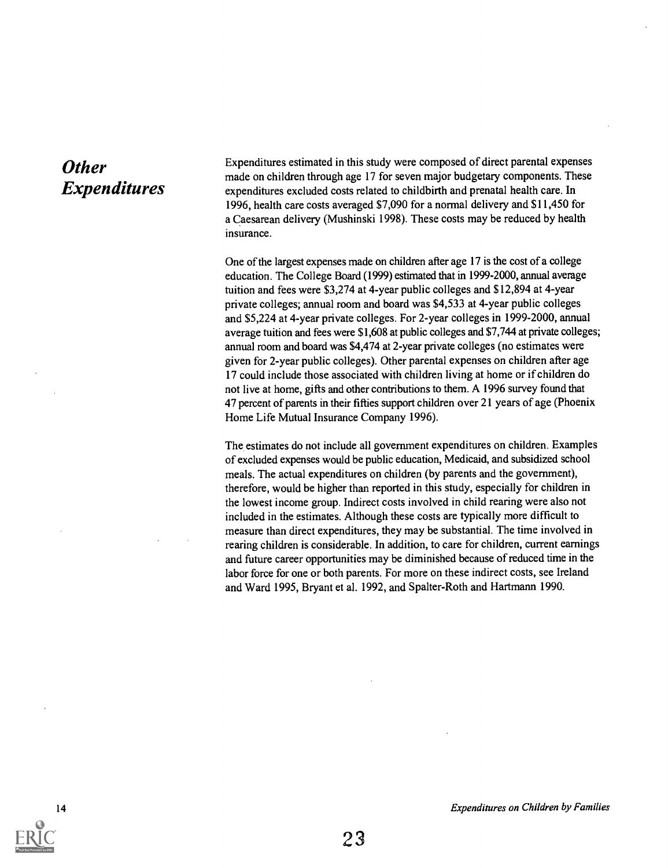## **Other** Expenditures

Expenditures estimated in this study were composed of direct parental expenses made on children through age 17 for seven major budgetary components. These expenditures excluded costs related to childbirth and prenatal health care. In 1996, health care costs averaged \$7,090 for a normal delivery and \$11,450 for a Caesarean delivery (Mushinski 1998). These costs may be reduced by health insurance.

One of the largest expenses made on children after age 17 is the cost of a college education. The College Board (1999) estimated that in 1999-2000, annual average tuition and fees were \$3,274 at 4-year public colleges and \$12,894 at 4-year private colleges; annual room and board was \$4,533 at 4-year public colleges and \$5,224 at 4-year private colleges. For 2-year colleges in 1999-2000, annual average tuition and fees were \$1,608 at public colleges and \$7,744 at private colleges; annual room and board was \$4,474 at 2-year private colleges (no estimates were given for 2-year public colleges). Other parental expenses on children after age 17 could include those associated with children living at home or if children do not live at home, gifts and other contributions to them. A 1996 survey found that 47 percent of parents in their fifties support children over 21 years of age (Phoenix Home Life Mutual Insurance Company 1996).

The estimates do not include all government expenditures on children. Examples of excluded expenses would be public education, Medicaid, and subsidized school meals. The actual expenditures on children (by parents and the government), therefore, would be higher than reported in this study, especially for children in the lowest income group. Indirect costs involved in child rearing were also not included in the estimates. Although these costs are typically more difficult to measure than direct expenditures, they may be substantial. The time involved in rearing children is considerable. In addition, to care for children, current earnings and future career opportunities may be diminished because of reduced time in the labor force for one or both parents. For more on these indirect costs, see Ireland and Ward 1995, Bryant et al. 1992, and Spalter-Roth and Hartmann 1990.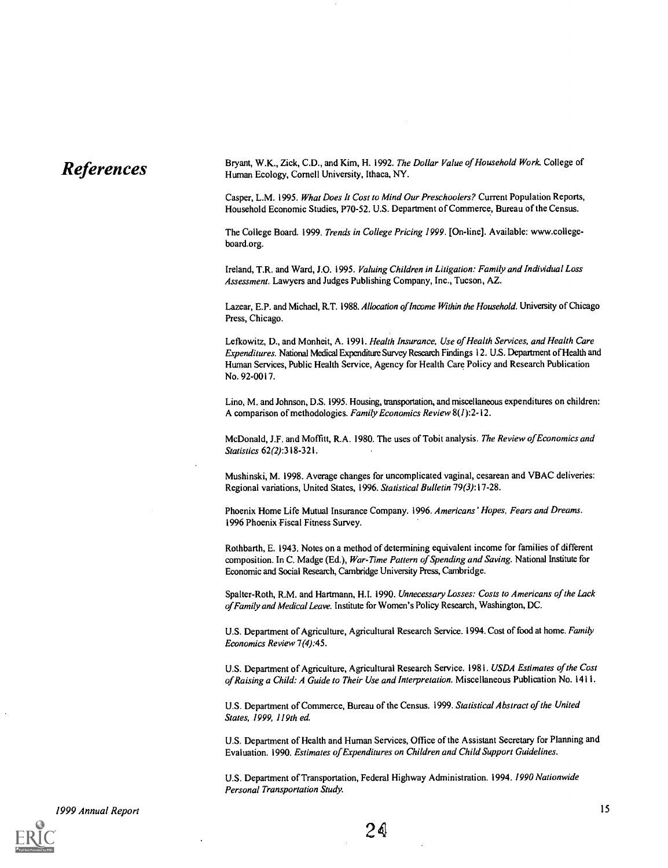**References** Bryant, W.K., Zick, C.D., and Kim, H. 1992. The Dollar Value of Household Work. College of  $\mathbb{R}$  Human Ecology. Cornell University. Ithaca, NY. Human Ecology, Cornell University, Ithaca, NY.

> Casper, L.M. 1995. What Does It Cost to Mind Our Preschoolers? Current Population Reports, Household Economic Studies, P70-52. U.S. Department of Commerce, Bureau of the Census.

> The College Board. 1999. Trends in College Pricing 1999. [On-line]. Available: www.collegeboard.org.

> Ireland, T.R. and Ward, J.O. 1995. Valuing Children in Litigation: Family and Individual Loss Assessment. Lawyers and Judges Publishing Company, Inc., Tucson, AZ.

Lazear, E.P. and Michael, R.T. 1988. Allocation of Income Within the Household. University of Chicago Press, Chicago.

Lefkowitz, D., and Monheit, A. 1991. Health Insurance, Use of Health Services, and Health Care Expenditures. National Medical Expenditure Survey Research Findings 12. U.S. Department of Health and Human Services, Public Health Service, Agency for Health Care Policy and Research Publication No. 92-0017.

Lino, M. and Johnson, D.S. 1995. Housing, transportation, and miscellaneous expenditures on children: A comparison of methodologies. Family Economics Review  $8(1)$ : 2-12.

McDonald, J.F. and Moffitt, R.A. 1980. The uses of Tobit analysis. The Review of Economics and Statistics 62(2):318-321.

Mushinski, M. 1998. Average changes for uncomplicated vaginal, cesarean and VBAC deliveries: Regional variations, United States, 1996. Statistical Bulletin 79(3):17-28.

Phoenix Home Life Mutual Insurance Company. 1996. Americans' Hopes, Fears and Dreams. 1996 Phoenix Fiscal Fitness Survey.

Rothbarth, E. 1943. Notes on a method of determining equivalent income for families of different composition. In C. Madge (Ed.), War-Time Pattern of Spending and Saving. National Institute for Economic and Social Research, Cambridge University Press, Cambridge.

Spalter-Roth, R.M. and Hartmann, H.I. 1990. Unnecessary Losses: Costs to Americans of the Lack of Family and Medical Leave. Institute for Women's Policy Research, Washington, DC.

U.S. Department of Agriculture, Agricultural Research Service. 1994. Cost of food at home. Family Economics Review 7(4):45.

U.S. Department of Agriculture, Agricultural Research Service. 1981. USDA Estimates of the Cost of Raising a Child: A Guide to Their Use and Interpretation. Miscellaneous Publication No. 1411.

U.S. Department of Commerce, Bureau of the Census. 1999. Statistical Abstract of the United States, 1999, 119th ed.

U.S. Department of Health and Human Services, Office of the Assistant Secretary for Planning and Evaluation. 1990. Estimates of Expenditures on Children and Child Support Guidelines.

U.S. Department of Transportation, Federal Highway Administration. 1994. 1990 Nationwide Personal Transportation Study.

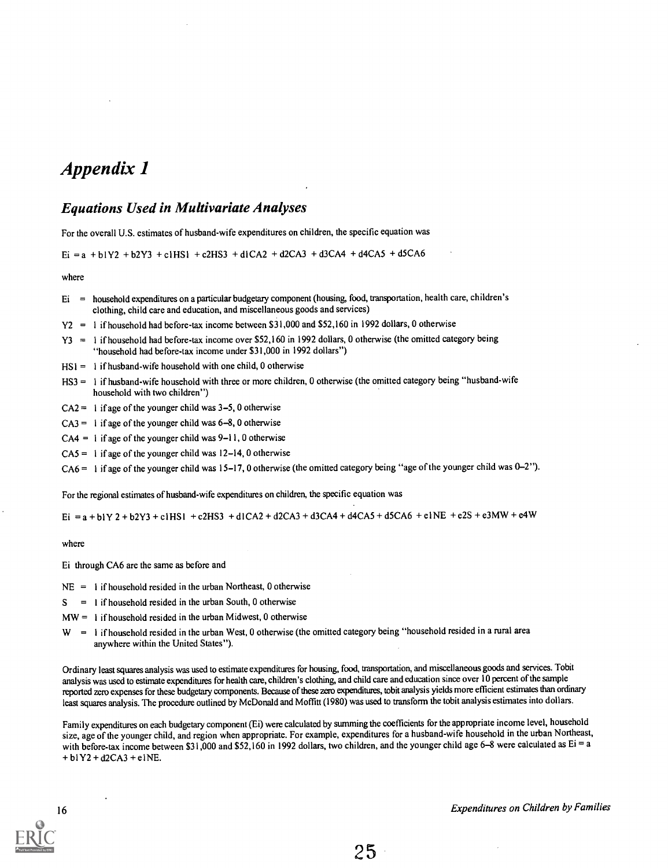## Appendix 1

#### Equations Used in Multivariate Analyses

For the overall U.S. estimates of husband-wife expenditures on children, the specific equation was

 $Ei = a + b1Y2 + b2Y3 + c1HS1 + c2HS3 + d1CA2 + d2CA3 + d3CA4 + d4CA5 + d5CA6$ 

where

- Ei = household expenditures on a particular budgetary component (housing, food, transportation, health care, children's clothing, child care and education, and miscellaneous goods and services)
- Y2 = I if household had before-tax income between \$31,000 and \$52,160 in 1992 dollars, 0 otherwise
- Y3 = 1 if household had before-tax income over \$52,160 in 1992 dollars, 0 otherwise (the omitted category being "household had before-tax income under \$31,000 in 1992 dollars")
- $HS1 = 1$  if husband-wife household with one child, 0 otherwise
- HS3 = I if husband-wife household with three or more children, 0 otherwise (the omitted category being "husband-wife household with two children")
- $CA2 = 1$  if age of the younger child was  $3-5$ , 0 otherwise
- $CA3 = 1$  if age of the younger child was  $6-8$ , 0 otherwise
- $CA4 = 1$  if age of the younger child was  $9-11$ , 0 otherwise
- $CAS = 1$  if age of the younger child was 12-14, 0 otherwise

CA6 = 1 if age of the younger child was 15-17, 0 otherwise (the omitted category being "age of the younger child was 0-2").

For the regional estimates of husband-wife expenditures on children, the specific equation was

Ei = a + bl Y 2 + b2Y3 + c l HS1 + c2HS3 + d ICA2 + d2CA3 + d3CA4 + d4CA5 + d5CA6 + e l NE + e2S + e3MW + e4W

where

Ei through CA6 are the same as before and

- $NE = 1$  if household resided in the urban Northeast, 0 otherwise
- $S = 1$  if household resided in the urban South, 0 otherwise
- $MW = 1$  if household resided in the urban Midwest, 0 otherwise
- $W = 1$  if household resided in the urban West, 0 otherwise (the omitted category being "household resided in a rural area anywhere within the United States").

Ordinary least squares analysis was used to estimate expenditures for housing, food, transportation, and miscellaneous goods and services. Tobit analysis was used to estimate expenditures for health care, children's clothing, and child care and education since over 10 percent of the sample reported zero expenses for these budgetary components. Because of these zero expenditures, tobit analysis yields more efficient estimates than ordinary least squares analysis. The procedure outlined by McDonald and Moffitt (1980) was used to transform the tobit analysis estimates into dollars.

Family expenditures on each budgetary component (Ei) were calculated by summing the coefficients for the appropriate income level, household size, age of the younger child, and region when appropriate. For example, expenditures for a husband-wife household in the urban Northeast, with before-tax income between \$31,000 and \$52,160 in 1992 dollars, two children, and the younger child age 6-8 were calculated as Ei = a + blY2 + d2CA3 + eINE.

16 **Expenditures on Children by Families Expenditures on Children by Families**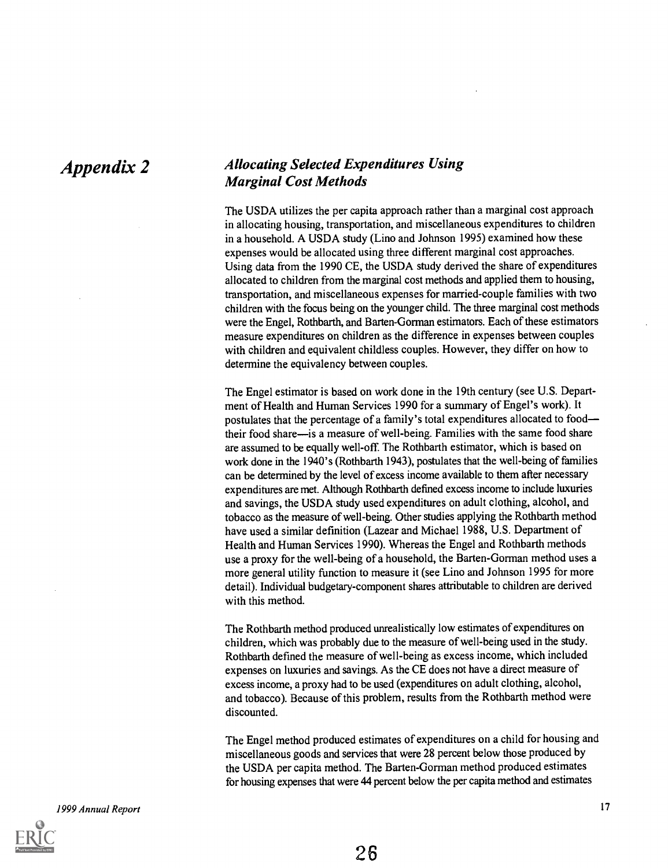### Appendix 2 Allocating Selected Expenditures Using Marginal Cost Methods

The USDA utilizes the per capita approach rather than a marginal cost approach in allocating housing, transportation, and miscellaneous expenditures to children in a household. A USDA study (Lino and Johnson 1995) examined how these expenses would be allocated using three different marginal cost approaches. Using data from the 1990 CE, the USDA study derived the share of expenditures allocated to children from the marginal cost methods and applied them to housing, transportation, and miscellaneous expenses for married-couple families with two children with the focus being on the younger child. The three marginal cost methods were the Engel, Rothbarth, and Barten-Gorman estimators. Each of these estimators measure expenditures on children as the difference in expenses between couples with children and equivalent childless couples. However, they differ on how to determine the equivalency between couples.

The Engel estimator is based on work done in the 19th century (see U.S. Department of Health and Human Services 1990 for a summary of Engel's work). It postulates that the percentage of a family's total expenditures allocated to food their food share—is a measure of well-being. Families with the same food share are assumed to be equally well-off. The Rothbarth estimator, which is based on work done in the 1940's (Rothbarth 1943), postulates that the well-being of families can be determined by the level of excess income available to them after necessary expenditures are met. Although Rothbarth defined excess income to include luxuries and savings, the USDA study used expenditures on adult clothing, alcohol, and tobacco as the measure of well-being. Other studies applying the Rothbarth method have used a similar definition (Lazear and Michael 1988, U.S. Department of Health and Human Services 1990). Whereas the Engel and Rothbarth methods use a proxy for the well-being of a household, the Barten-Gorman method uses a more general utility function to measure it (see Lino and Johnson 1995 for more detail). Individual budgetary-component shares attributable to children are derived with this method.

The Rothbarth method produced unrealistically low estimates of expenditures on children, which was probably due to the measure of well-being used in the study. Rothbarth defined the measure of well-being as excess income, which included expenses on luxuries and savings. As the CE does not have a direct measure of excess income, a proxy had to be used (expenditures on adult clothing, alcohol, and tobacco). Because of this problem, results from the Rothbarth method were discounted.

The Engel method produced estimates of expenditures on a child for housing and miscellaneous goods and services that were 28 percent below those produced by the USDA per capita method. The Barten-Gorman method produced estimates for housing expenses that were 44 percent below the per capita method and estimates

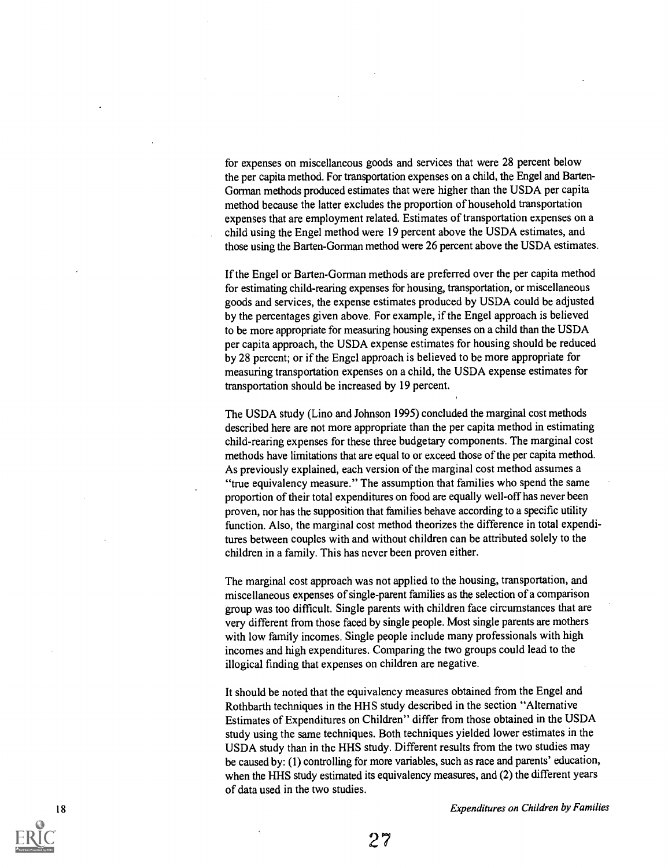for expenses on miscellaneous goods and services that were 28 percent below the per capita method. For transportation expenses on a child, the Engel and Barten-Gorman methods produced estimates that were higher than the USDA per capita method because the latter excludes the proportion of household transportation expenses that are employment related. Estimates of transportation expenses on a child using the Engel method were 19 percent above the USDA estimates, and those using the Barten-Gorman method were 26 percent above the USDA estimates.

If the Engel or Barten-Gorman methods are preferred over the per capita method for estimating child-rearing expenses for housing, transportation, or miscellaneous goods and services, the expense estimates produced by USDA could be adjusted by the percentages given above. For example, if the Engel approach is believed to be more appropriate for measuring housing expenses on a child than the USDA per capita approach, the USDA expense estimates for housing should be reduced by 28 percent; or if the Engel approach is believed to be more appropriate for measuring transportation expenses on a child, the USDA expense estimates for transportation should be increased by 19 percent.

The USDA study (Lino and Johnson 1995) concluded the marginal cost methods described here are not more appropriate than the per capita method in estimating child-rearing expenses for these three budgetary components. The marginal cost methods have limitations that are equal to or exceed those of the per capita method. As previously explained, each version of the marginal cost method assumes a "true equivalency measure." The assumption that families who spend the same proportion of their total expenditures on food are equally well-off has never been proven, nor has the supposition that families behave according to a specific utility function. Also, the marginal cost method theorizes the difference in total expenditures between couples with and without children can be attributed solely to the children in a family. This has never been proven either.

The marginal cost approach was not applied to the housing, transportation, and miscellaneous expenses of single-parent families as the selection of a comparison group was too difficult. Single parents with children face circumstances that are very different from those faced by single people. Most single parents are mothers with low family incomes. Single people include many professionals with high incomes and high expenditures. Comparing the two groups could lead to the illogical finding that expenses on children are negative.

It should be noted that the equivalency measures obtained from the Engel and Rothbarth techniques in the HHS study described in the section "Alternative Estimates of Expenditures on Children" differ from those obtained in the USDA study using the same techniques. Both techniques yielded lower estimates in the USDA study than in the HHS study. Different results from the two studies may be caused by: (1) controlling for more variables, such as race and parents' education, when the HHS study estimated its equivalency measures, and (2) the different years of data used in the two studies.

18 **Expenditures on Children by Families Expenditures on Children by Families**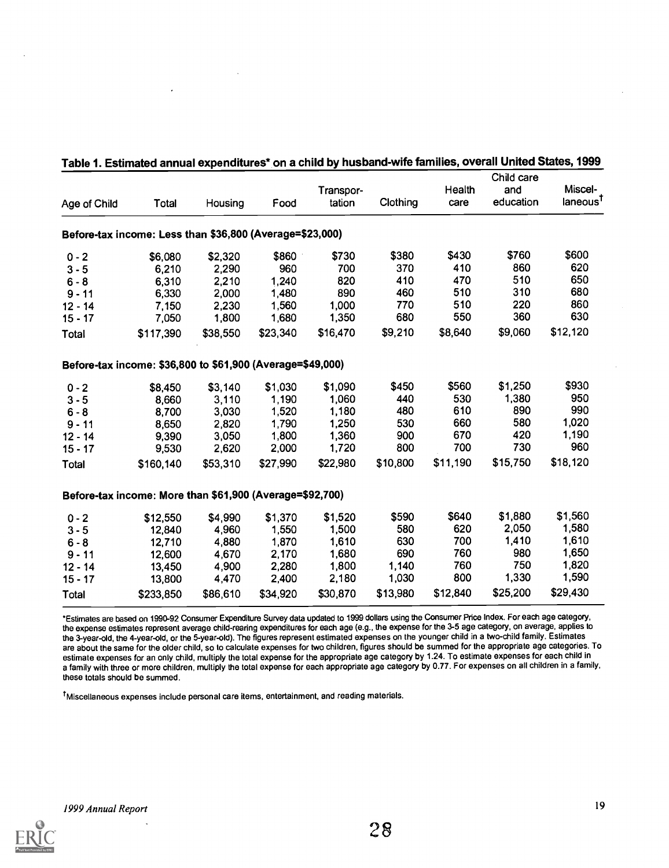|              |                                                            |          |          | Transpor- |          | Health   | Child care<br>and | Miscel-              |
|--------------|------------------------------------------------------------|----------|----------|-----------|----------|----------|-------------------|----------------------|
| Age of Child | Total                                                      | Housing  | Food     | tation    | Clothing | care     | education         | laneous <sup>t</sup> |
|              | Before-tax income: Less than \$36,800 (Average=\$23,000)   |          |          |           |          |          |                   |                      |
| $0 - 2$      | \$6,080                                                    | \$2,320  | \$860    | \$730     | \$380    | \$430    | \$760             | \$600                |
| $3 - 5$      | 6,210                                                      | 2,290    | 960      | 700       | 370      | 410      | 860               | 620                  |
| $6 - 8$      | 6,310                                                      | 2,210    | 1,240    | 820       | 410      | 470      | 510               | 650                  |
| $9 - 11$     | 6,330                                                      | 2,000    | 1,480    | 890       | 460      | 510      | 310               | 680                  |
| $12 - 14$    | 7,150                                                      | 2,230    | 1,560    | 1,000     | 770      | 510      | 220               | 860                  |
| $15 - 17$    | 7,050                                                      | 1,800    | 1,680    | 1,350     | 680      | 550      | 360               | 630                  |
| Total        | \$117,390                                                  | \$38,550 | \$23,340 | \$16,470  | \$9,210  | \$8,640  | \$9,060           | \$12,120             |
|              | Before-tax income: \$36,800 to \$61,900 (Average=\$49,000) |          |          |           |          |          |                   |                      |
| $0 - 2$      | \$8,450                                                    | \$3,140  | \$1,030  | \$1,090   | \$450    | \$560    | \$1,250           | \$930                |
| $3 - 5$      | 8,660                                                      | 3,110    | 1,190    | 1,060     | 440      | 530      | 1,380             | 950                  |
| $6 - 8$      | 8,700                                                      | 3,030    | 1,520    | 1,180     | 480      | 610      | 890               | 990                  |
| $9 - 11$     | 8,650                                                      | 2,820    | 1,790    | 1,250     | 530      | 660      | 580               | 1,020                |
| $12 - 14$    | 9,390                                                      | 3,050    | 1,800    | 1,360     | 900      | 670      | 420               | 1,190                |
| $15 - 17$    | 9,530                                                      | 2,620    | 2,000    | 1,720     | 800      | 700      | 730               | 960                  |
| Total        | \$160,140                                                  | \$53,310 | \$27,990 | \$22,980  | \$10,800 | \$11,190 | \$15,750          | \$18,120             |
|              | Before-tax income: More than \$61,900 (Average=\$92,700)   |          |          |           |          |          |                   |                      |
| $0 - 2$      | \$12,550                                                   | \$4,990  | \$1,370  | \$1,520   | \$590    | \$640    | \$1,880           | \$1,560              |
| $3 - 5$      | 12,840                                                     | 4,960    | 1,550    | 1,500     | 580      | 620      | 2,050             | 1,580                |
| $6 - 8$      | 12,710                                                     | 4,880    | 1,870    | 1,610     | 630      | 700      | 1,410             | 1,610                |
| $9 - 11$     | 12,600                                                     | 4,670    | 2,170    | 1,680     | 690      | 760      | 980               | 1,650                |
| $12 - 14$    | 13,450                                                     | 4,900    | 2,280    | 1,800     | 1,140    | 760      | 750               | 1,820                |
| $15 - 17$    | 13,800                                                     | 4,470    | 2,400    | 2,180     | 1,030    | 800      | 1,330             | 1,590                |
| Total        | \$233,850                                                  | \$86,610 | \$34,920 | \$30,870  | \$13,980 | \$12,840 | \$25,200          | \$29,430             |

#### Table 1. Estimated annual expenditures\* on a child by husband-wife families, overall United States, 1999

\*Estimates are based on 1990-92 Consumer Expenditure Survey data updated to 1999 dollars using the Consumer Price Index. For each age category, the expense estimates represent average child-rearing expenditures for each age (e.g., the expense for the 3-5 age category, on average, applies to the 3-year-old, the 4-year-old, or the 5-year-old). The figures represent estimated expenses on the younger child in a two-child family. Estimates are about the same for the older child, so to calculate expenses for two children, figures should be summed for the appropriate age categories. To estimate expenses for an only child, multiply the total expense for the appropriate age category by 1.24. To estimate expenses for each child in a family with three or more children, multiply the total expense for each appropriate age category by 0.77. For expenses on all children in a family, these totals should be summed.

tMiscellaneous expenses include personal care items, entertainment, and reading materials.

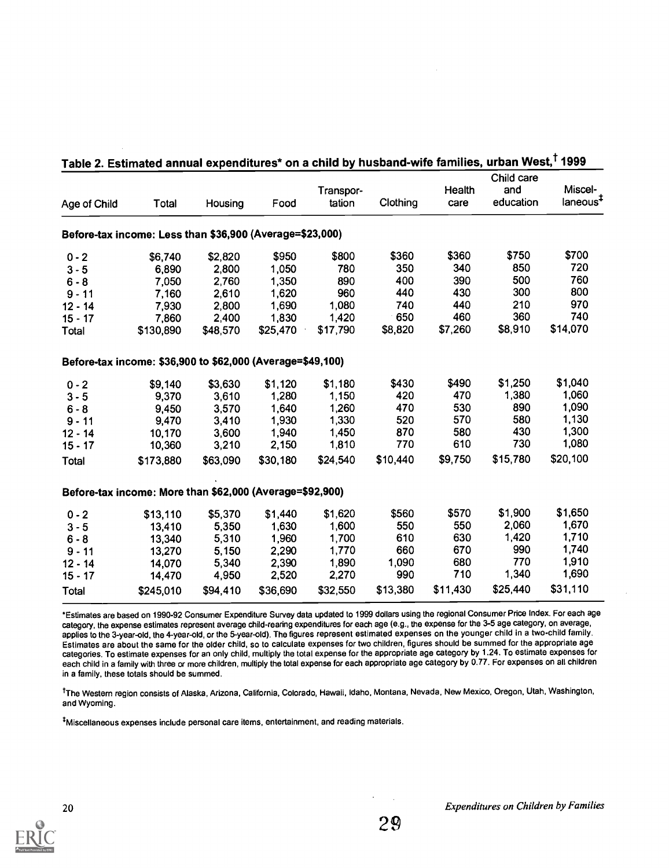| Age of Child | Total                                                      | Housing  | Food     | Transpor-<br>tation | Clothing | Health<br>care | Child care<br>and<br>education | Miscel-<br>laneous <sup>†</sup> |
|--------------|------------------------------------------------------------|----------|----------|---------------------|----------|----------------|--------------------------------|---------------------------------|
|              |                                                            |          |          |                     |          |                |                                |                                 |
|              | Before-tax income: Less than \$36,900 (Average=\$23,000)   |          |          |                     |          |                |                                |                                 |
| $0 - 2$      | \$6,740                                                    | \$2,820  | \$950    | \$800               | \$360    | \$360          | \$750                          | \$700                           |
| $3 - 5$      | 6,890                                                      | 2,800    | 1,050    | 780                 | 350      | 340            | 850                            | 720                             |
| $6 - 8$      | 7,050                                                      | 2,760    | 1,350    | 890                 | 400      | 390            | 500                            | 760                             |
| $9 - 11$     | 7,160                                                      | 2,610    | 1,620    | 960                 | 440      | 430            | 300                            | 800                             |
| $12 - 14$    | 7,930                                                      | 2,800    | 1,690    | 1,080               | 740      | 440            | 210                            | 970                             |
| $15 - 17$    | 7,860                                                      | 2,400    | 1,830    | 1,420               | 650      | 460            | 360                            | 740                             |
| Total        | \$130,890                                                  | \$48,570 | \$25,470 | \$17,790            | \$8,820  | \$7,260        | \$8,910                        | \$14,070                        |
|              | Before-tax income: \$36,900 to \$62,000 (Average=\$49,100) |          |          |                     |          |                |                                |                                 |
| $0 - 2$      | \$9,140                                                    | \$3,630  | \$1,120  | \$1,180             | \$430    | \$490          | \$1,250                        | \$1,040                         |
| $3 - 5$      | 9,370                                                      | 3,610    | 1,280    | 1,150               | 420      | 470            | 1,380                          | 1,060                           |
| $6 - 8$      | 9,450                                                      | 3,570    | 1,640    | 1,260               | 470      | 530            | 890                            | 1,090                           |
| $9 - 11$     | 9,470                                                      | 3,410    | 1,930    | 1,330               | 520      | 570            | 580                            | 1,130                           |
| $12 - 14$    | 10,170                                                     | 3,600    | 1,940    | 1,450               | 870      | 580            | 430                            | 1,300                           |
| $15 - 17$    | 10,360                                                     | 3,210    | 2,150    | 1,810               | 770      | 610            | 730                            | 1,080                           |
| <b>Total</b> | \$173,880                                                  | \$63,090 | \$30,180 | \$24,540            | \$10,440 | \$9,750        | \$15,780                       | \$20,100                        |
|              | Before-tax income: More than \$62,000 (Average=\$92,900)   |          |          |                     |          |                |                                |                                 |
| $0 - 2$      | \$13,110                                                   | \$5,370  | \$1,440  | \$1,620             | \$560    | \$570          | \$1,900                        | \$1,650                         |
| $3 - 5$      | 13,410                                                     | 5,350    | 1,630    | 1,600               | 550      | 550            | 2,060                          | 1,670                           |
| $6 - 8$      | 13,340                                                     | 5,310    | 1,960    | 1,700               | 610      | 630            | 1,420                          | 1,710                           |
| $9 - 11$     | 13,270                                                     | 5,150    | 2,290    | 1,770               | 660      | 670            | 990                            | 1,740                           |
| $12 - 14$    | 14,070                                                     | 5,340    | 2,390    | 1,890               | 1,090    | 680            | 770                            | 1,910                           |
| $15 - 17$    | 14,470                                                     | 4,950    | 2,520    | 2,270               | 990      | 710            | 1,340                          | 1,690                           |
| <b>Total</b> | \$245,010                                                  | \$94,410 | \$36,690 | \$32,550            | \$13,380 | \$11,430       | \$25,440                       | \$31,110                        |

# able 2. Estimated annual expenditures\* on a child by husband-wife families, urban West,<sup>†</sup> 1999

\*Estimates are based on 1990-92 Consumer Expenditure Survey data updated to 1999 dollars using the regional Consumer Price Index. For each age category, the expense estimates represent average child-rearing expenditures for each age (e.g., the expense for the 3-5 age category, on average, applies to the 3-year-old, the 4-year-old, or the 5-year-old). The figures represent estimated expenses on the younger child in a two-child family. Estimates are about the same for the older child, so to calculate expenses for two children, figures should be summed for the appropriate age categories. To estimate expenses for an only child, multiply the total expense for the appropriate age category by 1.24. To estimate expenses for each child in a family with three or more children, multiply the total expense for each appropriate age category by 0.77. For expenses on all children in a family, these totals should be summed.

<sup>t</sup>The Western region consists of Alaska, Arizona, California, Colorado, Hawaii, Idaho, Montana, Nevada, New Mexico, Oregon, Utah, Washington, and Wyoming.

Miscellaneous expenses include personal care items, entertainment, and reading materials.

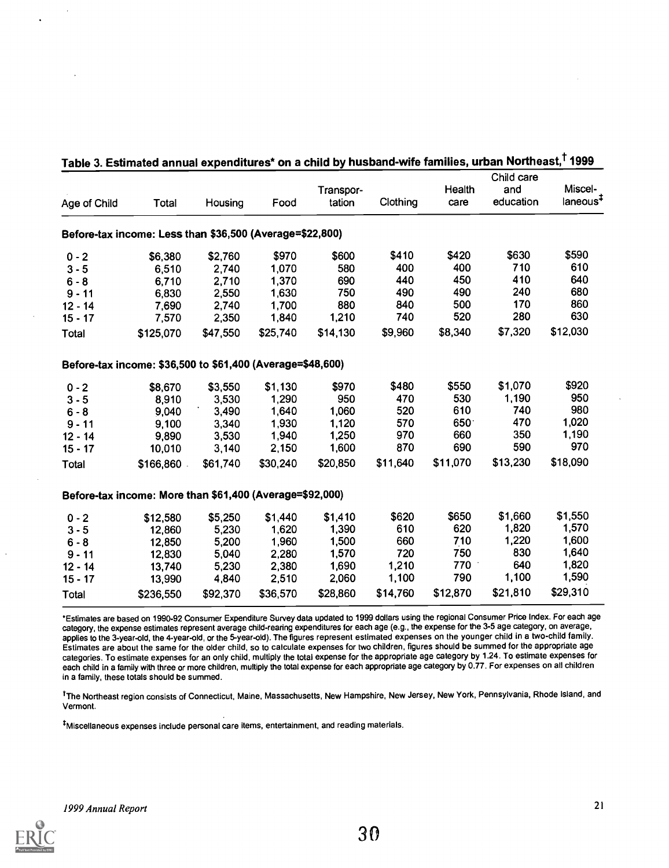|              |                                                            |          |          | Transpor- |          | Health      | Child care<br>and | Miscel-              |
|--------------|------------------------------------------------------------|----------|----------|-----------|----------|-------------|-------------------|----------------------|
| Age of Child | Total                                                      | Housing  | Food     | tation    | Clothing | care        | education         | laneous <sup>#</sup> |
|              | Before-tax income: Less than \$36,500 (Average=\$22,800)   |          |          |           |          |             |                   |                      |
| $0 - 2$      | \$6,380                                                    | \$2,760  | \$970    | \$600     | \$410    | \$420       | \$630             | \$590                |
| $3 - 5$      | 6,510                                                      | 2,740    | 1,070    | 580       | 400      | 400         | 710               | 610                  |
| $6 - 8$      | 6,710                                                      | 2,710    | 1,370    | 690       | 440      | 450         | 410               | 640                  |
| $9 - 11$     | 6,830                                                      | 2,550    | 1,630    | 750       | 490      | 490         | 240               | 680                  |
| $12 - 14$    | 7,690                                                      | 2,740    | 1,700    | 880       | 840      | 500         | 170               | 860                  |
| $15 - 17$    | 7,570                                                      | 2,350    | 1,840    | 1,210     | 740      | 520         | 280               | 630                  |
| Total        | \$125,070                                                  | \$47,550 | \$25,740 | \$14,130  | \$9,960  | \$8,340     | \$7,320           | \$12,030             |
|              | Before-tax income: \$36,500 to \$61,400 (Average=\$48,600) |          |          |           |          |             |                   |                      |
| $0 - 2$      | \$8,670                                                    | \$3,550  | \$1,130  | \$970     | \$480    | \$550       | \$1,070           | \$920                |
| $3 - 5$      | 8,910                                                      | 3,530    | 1,290    | 950       | 470      | 530         | 1,190             | 950                  |
| $6 - 8$      | 9,040                                                      | 3,490    | 1,640    | 1,060     | 520      | 610         | 740               | 980                  |
| $9 - 11$     | 9,100                                                      | 3,340    | 1,930    | 1,120     | 570      | $650^\circ$ | 470               | 1,020                |
| $12 - 14$    | 9,890                                                      | 3,530    | 1,940    | 1,250     | 970      | 660         | 350               | 1,190                |
| $15 - 17$    | 10,010                                                     | 3,140    | 2,150    | 1,600     | 870      | 690         | 590               | 970                  |
| <b>Total</b> | \$166,860                                                  | \$61,740 | \$30,240 | \$20,850  | \$11,640 | \$11,070    | \$13,230          | \$18,090             |
|              | Before-tax income: More than \$61,400 (Average=\$92,000)   |          |          |           |          |             |                   |                      |
| $0 - 2$      | \$12,580                                                   | \$5,250  | \$1,440  | \$1,410   | \$620    | \$650       | \$1,660           | \$1,550              |
| $3 - 5$      | 12,860                                                     | 5,230    | 1,620    | 1,390     | 610      | 620         | 1,820             | 1,570                |
| $6 - 8$      | 12,850                                                     | 5,200    | 1,960    | 1,500     | 660      | 710         | 1,220             | 1,600                |
| $9 - 11$     | 12,830                                                     | 5,040    | 2,280    | 1,570     | 720      | 750         | 830               | 1,640                |
| $12 - 14$    | 13,740                                                     | 5,230    | 2,380    | 1,690     | 1,210    | 770         | 640               | 1,820                |
| $15 - 17$    | 13,990                                                     | 4,840    | 2,510    | 2,060     | 1,100    | 790         | 1,100             | 1,590                |
| Total        | \$236,550                                                  | \$92,370 | \$36,570 | \$28,860  | \$14,760 | \$12,870    | \$21,810          | \$29,310             |

## Table 3. Estimated annual expenditures\* on a child by husband-wife families, urban Northeast, $^\dagger$  1999

\*Estimates are based on 1990-92 Consumer Expenditure Survey data updated to 1999 dollars using the regional Consumer Price Index. For each age category, the expense estimates represent average child-rearing expenditures for each age (e.g., the expense for the 3-5 age category, on average, applies to the 3-year-old, the 4-year-old, or the 5-year-old). The figures represent estimated expenses on the younger child in a two-child family. Estimates are about the same for the older child, so to calculate expenses for two children, figures should be summed for the appropriate age categories. To estimate expenses for an only child, multiply the total expense for the appropriate age category by 1.24. To estimate expenses for each child in a family with three or more children, multiply the total expense for each appropriate age category by 0.77. For expenses on all children in a family, these totals should be summed.

<sup>t</sup>The Northeast region consists of Connecticut, Maine, Massachusetts, New Hampshire, New Jersey, New York, Pennsylvania, Rhode Island, and Vermont.

\*Miscellaneous expenses include personal care items, entertainment, and reading materials.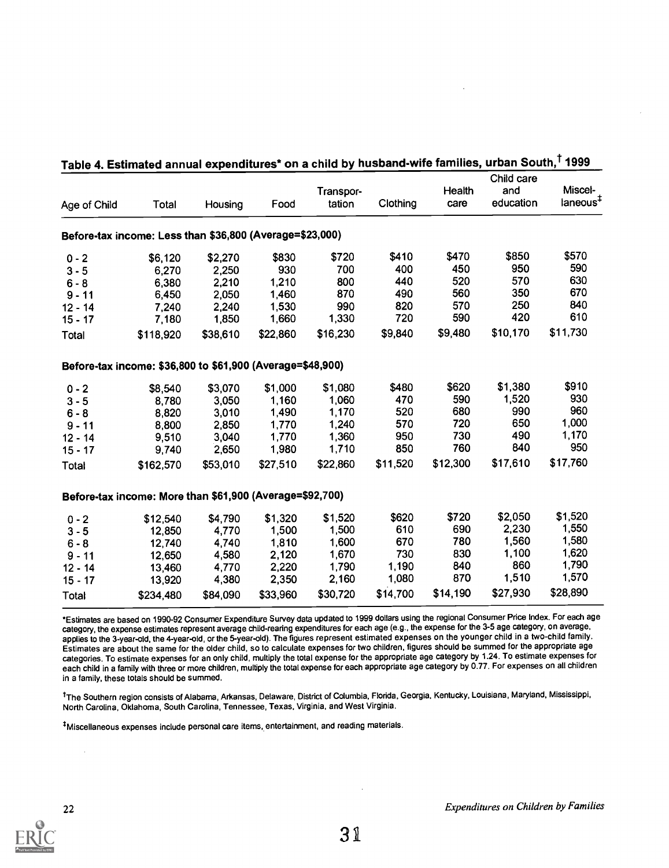| Age of Child                                             | Total                                                      | Housing  | Food     | Transpor-<br>tation | Clothing | Health<br>care | Child care<br>and<br>education | Miscel-<br>laneous <sup>‡</sup> |
|----------------------------------------------------------|------------------------------------------------------------|----------|----------|---------------------|----------|----------------|--------------------------------|---------------------------------|
| Before-tax income: Less than \$36,800 (Average=\$23,000) |                                                            |          |          |                     |          |                |                                |                                 |
| $0 - 2$                                                  | \$6,120                                                    | \$2,270  | \$830    | \$720               | \$410    | \$470          | \$850                          | \$570                           |
| $3 - 5$                                                  | 6,270                                                      | 2,250    | 930      | 700                 | 400      | 450            | 950                            | 590                             |
| $6 - 8$                                                  | 6,380                                                      | 2,210    | 1,210    | 800                 | 440      | 520            | 570                            | 630                             |
| $9 - 11$                                                 | 6,450                                                      | 2,050    | 1,460    | 870                 | 490      | 560            | 350                            | 670                             |
| $12 - 14$                                                | 7,240                                                      | 2,240    | 1,530    | 990                 | 820      | 570            | 250                            | 840                             |
| $15 - 17$                                                | 7,180                                                      | 1,850    | 1,660    | 1,330               | 720      | 590            | 420                            | 610                             |
| Total                                                    | \$118,920                                                  | \$38,610 | \$22,860 | \$16,230            | \$9,840  | \$9,480        | \$10,170                       | \$11,730                        |
|                                                          | Before-tax income: \$36,800 to \$61,900 (Average=\$48,900) |          |          |                     |          |                |                                |                                 |
| $0 - 2$                                                  | \$8,540                                                    | \$3,070  | \$1,000  | \$1,080             | \$480    | \$620          | \$1,380                        | \$910                           |
| $3 - 5$                                                  | 8,780                                                      | 3,050    | 1,160    | 1,060               | 470      | 590            | 1,520                          | 930                             |
| $6 - 8$                                                  | 8,820                                                      | 3,010    | 1,490    | 1,170               | 520      | 680            | 990                            | 960                             |
| $9 - 11$                                                 | 8,800                                                      | 2,850    | 1,770    | 1,240               | 570      | 720            | 650                            | 1,000                           |
| $12 - 14$                                                | 9,510                                                      | 3,040    | 1,770    | 1,360               | 950      | 730            | 490                            | 1,170                           |
| $15 - 17$                                                | 9,740                                                      | 2,650    | 1,980    | 1,710               | 850      | 760            | 840                            | 950                             |
| Total                                                    | \$162,570                                                  | \$53,010 | \$27,510 | \$22,860            | \$11,520 | \$12,300       | \$17,610                       | \$17,760                        |
|                                                          | Before-tax income: More than \$61,900 (Average=\$92,700)   |          |          |                     |          |                |                                |                                 |
| $0 - 2$                                                  | \$12,540                                                   | \$4,790  | \$1,320  | \$1,520             | \$620    | \$720          | \$2,050                        | \$1,520                         |
| $3 - 5$                                                  | 12,850                                                     | 4,770    | 1,500    | 1,500               | 610      | 690            | 2,230                          | 1,550                           |
| $6 - 8$                                                  | 12,740                                                     | 4,740    | 1,810    | 1,600               | 670      | 780            | 1,560                          | 1,580                           |
| $9 - 11$                                                 | 12,650                                                     | 4,580    | 2,120    | 1,670               | 730      | 830            | 1,100                          | 1,620                           |
| $12 - 14$                                                | 13,460                                                     | 4,770    | 2,220    | 1,790               | 1,190    | 840            | 860                            | 1,790                           |
| $15 - 17$                                                | 13,920                                                     | 4,380    | 2,350    | 2,160               | 1,080    | 870            | 1,510                          | 1,570                           |
| Total                                                    | \$234,480                                                  | \$84,090 | \$33,960 | \$30,720            | \$14,700 | \$14,190       | \$27,930                       | \$28,890                        |

| <b>Table 4. Estimated annual expenditures* on a child by husband-wife families, urban South,<sup>⊺</sup> 1999</b> |  |  |  |  |
|-------------------------------------------------------------------------------------------------------------------|--|--|--|--|
|-------------------------------------------------------------------------------------------------------------------|--|--|--|--|

\*Estimates are based on 1990-92 Consumer Expenditure Survey data updated to 1999 dollars using the regional Consumer Price Index. For each age category, the expense estimates represent average child-rearing expenditures for each age (e.g., the expense for the 3-5 age category, on average, applies to the 3-year-old, the 4-year-old, or the 5-year-old). The figures represent estimated expenses on the younger child in a two-child family. Estimates are about the same for the older child, so to calculate expenses for two children, figures should be summed for the appropriate age categories. To estimate expenses for an only child, multiply the total expense for the appropriate age category by 1.24. To estimate expenses for each child in a family with three or more children, multiply the total expense for each appropriate age category by 0.77. For expenses on all children in a family, these totals should be summed.

<sup>t</sup>The Southern region consists of Alabama, Arkansas, Delaware, District of Columbia, Florida, Georgia, Kentucky, Louisiana, Maryland, Mississippi, North Carolina, Oklahoma, South Carolina, Tennessee, Texas, Virginia, and West Virginia.

t Miscellaneous expenses include personal care items, entertainment, and reading materials.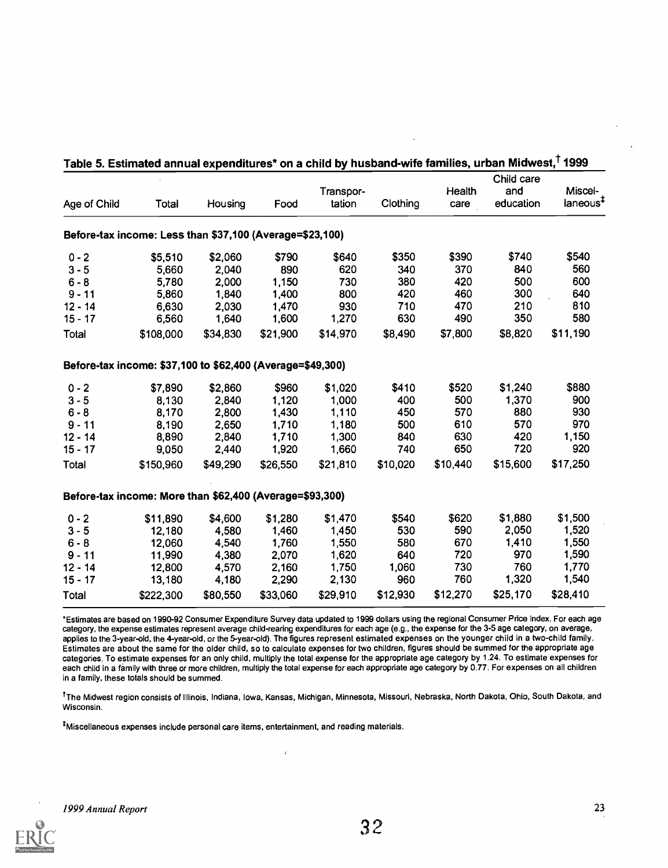| Age of Child                                               | Total     | Housing  | Food     | Transpor-<br>tation | Clothing | Health<br>care | Child care<br>and<br>education | Miscel-<br>laneous <sup>#</sup> |
|------------------------------------------------------------|-----------|----------|----------|---------------------|----------|----------------|--------------------------------|---------------------------------|
| Before-tax income: Less than \$37,100 (Average=\$23,100)   |           |          |          |                     |          |                |                                |                                 |
| $0 - 2$                                                    | \$5,510   | \$2,060  | \$790    | \$640               | \$350    | \$390          | \$740                          | \$540                           |
| $3 - 5$                                                    | 5,660     | 2,040    | 890      | 620                 | 340      | 370            | 840                            | 560                             |
| $6 - 8$                                                    | 5,780     | 2,000    | 1,150    | 730                 | 380      | 420            | 500                            | 600                             |
| $9 - 11$                                                   | 5,860     | 1,840    | 1,400    | 800                 | 420      | 460            | 300                            | 640                             |
| $12 - 14$                                                  | 6,630     | 2,030    | 1,470    | 930                 | 710      | 470            | 210                            | 810                             |
| $15 - 17$                                                  | 6,560     | 1,640    | 1,600    | 1,270               | 630      | 490            | 350                            | 580                             |
| Total                                                      | \$108,000 | \$34,830 | \$21,900 | \$14,970            | \$8,490  | \$7,800        | \$8,820                        | \$11,190                        |
| Before-tax income: \$37,100 to \$62,400 (Average=\$49,300) |           |          |          |                     |          |                |                                |                                 |
| $0 - 2$                                                    | \$7,890   | \$2,860  | \$960    | \$1,020             | \$410    | \$520          | \$1,240                        | \$880                           |
| $3 - 5$                                                    | 8,130     | 2,840    | 1,120    | 1,000               | 400      | 500            | 1,370                          | 900                             |
| $6 - 8$                                                    | 8,170     | 2,800    | 1,430    | 1,110               | 450      | 570            | 880                            | 930                             |
| $9 - 11$                                                   | 8,190     | 2,650    | 1,710    | 1,180               | 500      | 610            | 570                            | 970                             |
| $12 - 14$                                                  | 8,890     | 2,840    | 1,710    | 1,300               | 840      | 630            | 420                            | 1,150                           |
| $15 - 17$                                                  | 9,050     | 2,440    | 1,920    | 1,660               | 740      | 650            | 720                            | 920                             |
| Total                                                      | \$150,960 | \$49,290 | \$26,550 | \$21,810            | \$10,020 | \$10,440       | \$15,600                       | \$17,250                        |
| Before-tax income: More than \$62,400 (Average=\$93,300)   |           |          |          |                     |          |                |                                |                                 |
| $0 - 2$                                                    | \$11,890  | \$4,600  | \$1,280  | \$1,470             | \$540    | \$620          | \$1,880                        | \$1,500                         |
| $3 - 5$                                                    | 12,180    | 4,580    | 1,460    | 1,450               | 530      | 590            | 2,050                          | 1,520                           |
| $6 - 8$                                                    | 12,060    | 4,540    | 1,760    | 1,550               | 580      | 670            | 1,410                          | 1,550                           |
| $9 - 11$                                                   | 11,990    | 4,380    | 2,070    | 1,620               | 640      | 720            | 970                            | 1,590                           |
| $12 - 14$                                                  | 12,800    | 4,570    | 2,160    | 1,750               | 1,060    | 730            | 760                            | 1,770                           |
| $15 - 17$                                                  | 13,180    | 4,180    | 2,290    | 2,130               | 960      | 760            | 1,320                          | 1,540                           |
| Total                                                      | \$222,300 | \$80,550 | \$33,060 | \$29,910            | \$12,930 | \$12,270       | \$25,170                       | \$28,410                        |

### Table 5. Estimated annual expenditures\* on a child by husband-wife families, urban Midwest,' 1999

\*Estimates are based on 1990-92 Consumer Expenditure Survey data updated to 1999 dollars using the regional Consumer Price Index. For each age category, the expense estimates represent average child-rearing expenditures for each age (e.g., the expense for the 3-5 age category, on average, applies to the 3-year-old, the 4-year-old, or the 5-year-old). The figures represent estimated expenses on the younger child in a two-child family. Estimates are about the same for the older child, so to calculate expenses for two children, figures should be summed for the appropriate age categories. To estimate expenses for an only child, multiply the total expense for the appropriate age category by 1.24. To estimate expenses for each child in a family with three or more children, multiply the total expense for each appropriate age category by 0.77. For expenses on all children in a family, these totals should be summed.

<sup>†</sup>The Midwest region consists of Illinois, Indiana, Iowa, Kansas, Michigan, Minnesota, Missouri, Nebraska, North Dakota, Ohio, South Dakota, and Wisconsin.

\*Miscellaneous expenses include personal care items, entertainment, and reading materials.

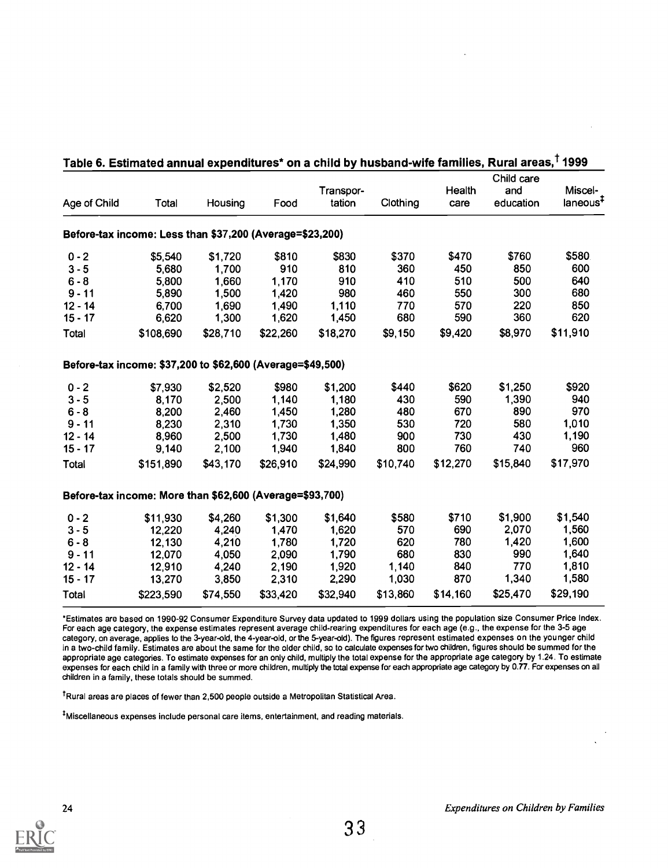| Age of Child                                             | Total                                                      | Housing  | Food     | Transpor-<br>tation | Clothing | Health<br>care | Child care<br>and<br>education | Miscel-<br>laneous <sup>#</sup> |
|----------------------------------------------------------|------------------------------------------------------------|----------|----------|---------------------|----------|----------------|--------------------------------|---------------------------------|
| Before-tax income: Less than \$37,200 (Average=\$23,200) |                                                            |          |          |                     |          |                |                                |                                 |
| $0 - 2$                                                  | \$5,540                                                    | \$1,720  | \$810    | \$830               | \$370    | \$470          | \$760                          | \$580                           |
| $3 - 5$                                                  | 5,680                                                      | 1,700    | 910      | 810                 | 360      | 450            | 850                            | 600                             |
| $6 - 8$                                                  | 5,800                                                      | 1,660    | 1,170    | 910                 | 410      | 510            | 500                            | 640                             |
| $9 - 11$                                                 | 5,890                                                      | 1,500    | 1,420    | 980                 | 460      | 550            | 300                            | 680                             |
| $12 - 14$                                                | 6,700                                                      | 1,690    | 1,490    | 1,110               | 770      | 570            | 220                            | 850                             |
| $15 - 17$                                                | 6,620                                                      | 1,300    | 1,620    | 1,450               | 680      | 590            | 360                            | 620                             |
| Total                                                    | \$108,690                                                  | \$28,710 | \$22,260 | \$18,270            | \$9,150  | \$9,420        | \$8,970                        | \$11,910                        |
|                                                          | Before-tax income: \$37,200 to \$62,600 (Average=\$49,500) |          |          |                     |          |                |                                |                                 |
| $0 - 2$                                                  | \$7,930                                                    | \$2,520  | \$980    | \$1,200             | \$440    | \$620          | \$1,250                        | \$920                           |
| $3 - 5$                                                  | 8,170                                                      | 2,500    | 1,140    | 1,180               | 430      | 590            | 1,390                          | 940                             |
| $6 - 8$                                                  | 8,200                                                      | 2,460    | 1,450    | 1,280               | 480      | 670            | 890                            | 970                             |
| $9 - 11$                                                 | 8,230                                                      | 2,310    | 1,730    | 1,350               | 530      | 720            | 580                            | 1,010                           |
| $12 - 14$                                                | 8,960                                                      | 2,500    | 1,730    | 1,480               | 900      | 730            | 430                            | 1,190                           |
| $15 - 17$                                                | 9,140                                                      | 2,100    | 1,940    | 1,840               | 800      | 760            | 740                            | 960                             |
| Total                                                    | \$151,890                                                  | \$43,170 | \$26,910 | \$24,990            | \$10,740 | \$12,270       | \$15,840                       | \$17,970                        |
| Before-tax income: More than \$62,600 (Average=\$93,700) |                                                            |          |          |                     |          |                |                                |                                 |
| $0 - 2$                                                  | \$11,930                                                   | \$4,260  | \$1,300  | \$1,640             | \$580    | \$710          | \$1,900                        | \$1,540                         |
| $3 - 5$                                                  | 12,220                                                     | 4,240    | 1,470    | 1,620               | 570      | 690            | 2,070                          | 1,560                           |
| $6 - 8$                                                  | 12,130                                                     | 4,210    | 1,780    | 1,720               | 620      | 780            | 1,420                          | 1,600                           |
| $9 - 11$                                                 | 12,070                                                     | 4,050    | 2,090    | 1,790               | 680      | 830            | 990                            | 1,640                           |
| $12 - 14$                                                | 12,910                                                     | 4,240    | 2,190    | 1,920               | 1,140    | 840            | 770                            | 1,810                           |
| $15 - 17$                                                | 13,270                                                     | 3,850    | 2,310    | 2,290               | 1,030    | 870            | 1,340                          | 1,580                           |
| Total                                                    | \$223,590                                                  | \$74,550 | \$33,420 | \$32,940            | \$13,860 | \$14,160       | \$25,470                       | \$29,190                        |

### Table 6. Estimated annual expenditures\* on a child by husband-wife families, Rural areas, <sup>†</sup> 1999

\*Estimates are based on 1990-92 Consumer Expenditure Survey data updated to 1999 dollars using the population size Consumer Price Index. For each age category, the expense estimates represent average child-rearing expenditures for each age (e.g., the expense for the 3-5 age category, on average, applies to the 3-year-old, the 4-year-old, or the 5-year-old). The figures represent estimated expenses on the younger child in a two-child family. Estimates are about the same for the older child, so to calculate expenses for two children, figures should be summed for the appropriate age categories. To estimate expenses for an only child, multiply the total expense for the appropriate age category by 1.24. To estimate expenses for each child in a family with three or more children, multiply the total expense for each appropriate age category by 0.77. For expenseson all children in a family, these totals should be summed.

<sup>t</sup>Rural areas are places of fewer than 2,500 people outside a Metropolitan Statistical Area.

tMiscellaneous expenses include personal care items, entertainment, and reading materials.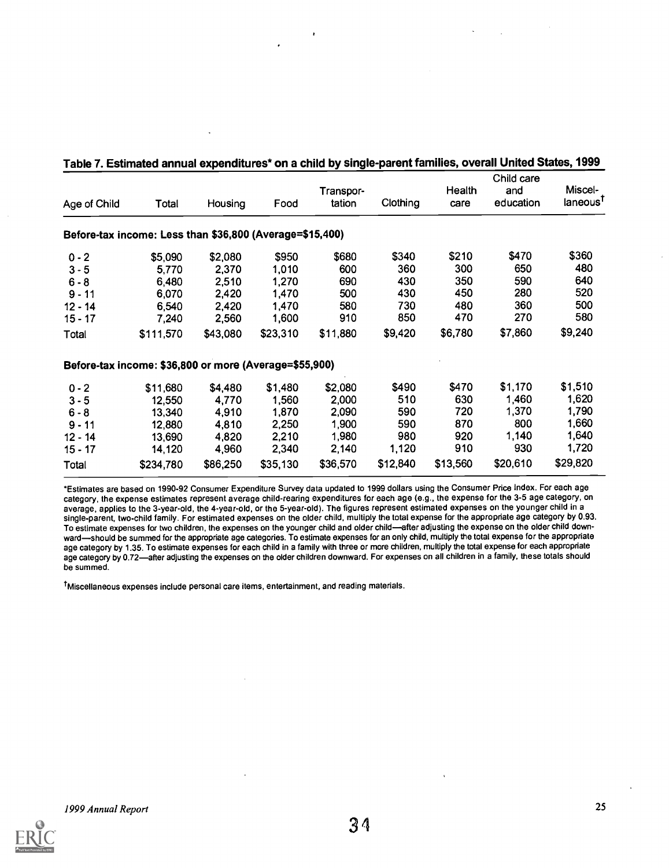| Age of Child | Total                                                    | Housing  | Food     | Transpor-<br>tation | Clothing | Health<br>care | Child care<br>and<br>education | Miscel-<br>laneous <sup>T</sup> |
|--------------|----------------------------------------------------------|----------|----------|---------------------|----------|----------------|--------------------------------|---------------------------------|
|              | Before-tax income: Less than \$36,800 (Average=\$15,400) |          |          |                     |          |                |                                |                                 |
| $0 - 2$      | \$5,090                                                  | \$2,080  | \$950    | \$680               | \$340    | \$210          | \$470                          | \$360                           |
| $3 - 5$      | 5,770                                                    | 2,370    | 1,010    | 600                 | 360      | 300            | 650                            | 480                             |
| $6 - 8$      | 6,480                                                    | 2,510    | 1,270    | 690                 | 430      | 350            | 590                            | 640                             |
| $9 - 11$     | 6,070                                                    | 2,420    | 1,470    | 500                 | 430      | 450            | 280                            | 520                             |
| $12 - 14$    | 6,540                                                    | 2,420    | 1,470    | 580                 | 730      | 480            | 360                            | 500                             |
| $15 - 17$    | 7,240                                                    | 2,560    | 1,600    | 910                 | 850      | 470            | 270                            | 580                             |
| Total        | \$111,570                                                | \$43,080 | \$23,310 | \$11,880            | \$9,420  | \$6,780        | \$7,860                        | \$9,240                         |
|              | Before-tax income: \$36,800 or more (Average=\$55,900)   |          |          |                     |          |                |                                |                                 |
| $0 - 2$      | \$11,680                                                 | \$4,480  | \$1,480  | \$2,080             | \$490    | \$470          | \$1,170                        | \$1,510                         |
| $3 - 5$      | 12,550                                                   | 4,770    | 1,560    | 2,000               | 510      | 630            | 1,460                          | 1,620                           |
| $6 - 8$      | 13,340                                                   | 4,910    | 1,870    | 2,090               | 590      | 720            | 1,370                          | 1,790                           |
| $9 - 11$     | 12,880                                                   | 4,810    | 2,250    | 1,900               | 590      | 870            | 800                            | 1,660                           |
| $12 - 14$    | 13,690                                                   | 4,820    | 2,210    | 1,980               | 980      | 920            | 1,140                          | 1,640                           |
| $15 - 17$    | 14,120                                                   | 4,960    | 2,340    | 2,140               | 1,120    | 910            | 930                            | 1,720                           |
| Total        | \$234,780                                                | \$86,250 | \$35,130 | \$36,570            | \$12,840 | \$13,560       | \$20,610                       | \$29,820                        |

#### Table 7. Estimated annual expenditures\* on a child by single-parent families, overall United States, 1999

\*Estimates are based on 1990-92 Consumer Expenditure Survey data updated to 1999 dollars using the Consumer Price Index. For each age category, the expense estimates represent average child-rearing expenditures for each age (e.g., the expense for the 3-5 age category, on average, applies to the 3-year-old, the 4-year-old, or the 5-year-old). The figures represent estimated expenses on the younger child in a single-parent, two-child family. For estimated expenses on the older child, multiply the total expense for the appropriate age category by 0.93. To estimate expenses for two children, the expenses on the younger child and older child-after adjusting the expense on the older child downward-should be summed for the appropriate age categories. To estimate expenses for an only child, multiply the total expense for the appropriate age category by 1.35. To estimate expenses for each child in a family with three or more children, multiply the total expense for each appropriate age category by 0.72-after adjusting the expenses on the older children downward. For expenses on all children in a family, these totals should be summed.

tMiscellaneous expenses include personal care items, entertainment, and reading materials.